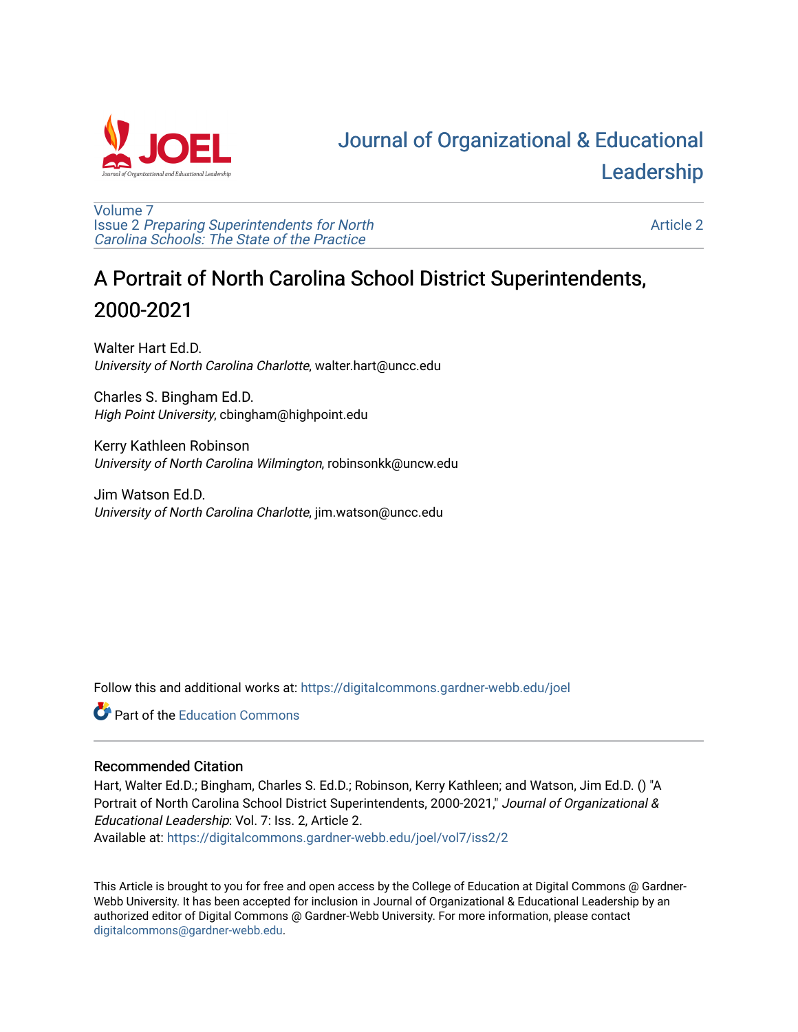

# [Journal of Organizational & Educational](https://digitalcommons.gardner-webb.edu/joel)  [Leadership](https://digitalcommons.gardner-webb.edu/joel)

[Article 2](https://digitalcommons.gardner-webb.edu/joel/vol7/iss2/2) 

[Volume 7](https://digitalcommons.gardner-webb.edu/joel/vol7) Issue 2 [Preparing Superintendents for North](https://digitalcommons.gardner-webb.edu/joel/vol7/iss2)  [Carolina Schools: The State of the Practice](https://digitalcommons.gardner-webb.edu/joel/vol7/iss2)

# A Portrait of North Carolina School District Superintendents, 2000-2021

Walter Hart Ed.D. University of North Carolina Charlotte, walter.hart@uncc.edu

Charles S. Bingham Ed.D. High Point University, cbingham@highpoint.edu

Kerry Kathleen Robinson University of North Carolina Wilmington, robinsonkk@uncw.edu

Jim Watson Ed.D. University of North Carolina Charlotte, jim.watson@uncc.edu

Follow this and additional works at: [https://digitalcommons.gardner-webb.edu/joel](https://digitalcommons.gardner-webb.edu/joel?utm_source=digitalcommons.gardner-webb.edu%2Fjoel%2Fvol7%2Fiss2%2F2&utm_medium=PDF&utm_campaign=PDFCoverPages) 

**C** Part of the [Education Commons](http://network.bepress.com/hgg/discipline/784?utm_source=digitalcommons.gardner-webb.edu%2Fjoel%2Fvol7%2Fiss2%2F2&utm_medium=PDF&utm_campaign=PDFCoverPages)

# Recommended Citation

Hart, Walter Ed.D.; Bingham, Charles S. Ed.D.; Robinson, Kerry Kathleen; and Watson, Jim Ed.D. () "A Portrait of North Carolina School District Superintendents, 2000-2021," Journal of Organizational & Educational Leadership: Vol. 7: Iss. 2, Article 2. Available at: [https://digitalcommons.gardner-webb.edu/joel/vol7/iss2/2](https://digitalcommons.gardner-webb.edu/joel/vol7/iss2/2?utm_source=digitalcommons.gardner-webb.edu%2Fjoel%2Fvol7%2Fiss2%2F2&utm_medium=PDF&utm_campaign=PDFCoverPages)

This Article is brought to you for free and open access by the College of Education at Digital Commons @ Gardner-Webb University. It has been accepted for inclusion in Journal of Organizational & Educational Leadership by an authorized editor of Digital Commons @ Gardner-Webb University. For more information, please contact [digitalcommons@gardner-webb.edu](mailto:digitalcommons@gardner-webb.edu).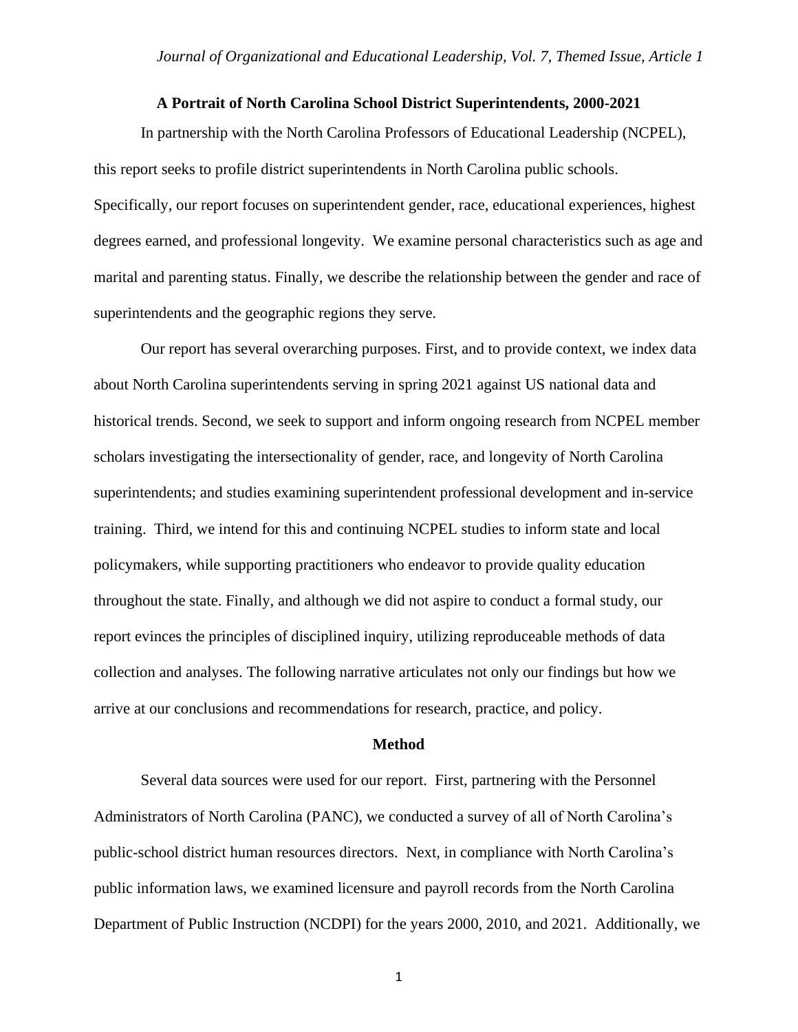#### **A Portrait of North Carolina School District Superintendents, 2000-2021**

In partnership with the North Carolina Professors of Educational Leadership (NCPEL), this report seeks to profile district superintendents in North Carolina public schools. Specifically, our report focuses on superintendent gender, race, educational experiences, highest degrees earned, and professional longevity. We examine personal characteristics such as age and marital and parenting status. Finally, we describe the relationship between the gender and race of superintendents and the geographic regions they serve.

Our report has several overarching purposes. First, and to provide context, we index data about North Carolina superintendents serving in spring 2021 against US national data and historical trends. Second, we seek to support and inform ongoing research from NCPEL member scholars investigating the intersectionality of gender, race, and longevity of North Carolina superintendents; and studies examining superintendent professional development and in-service training. Third, we intend for this and continuing NCPEL studies to inform state and local policymakers, while supporting practitioners who endeavor to provide quality education throughout the state. Finally, and although we did not aspire to conduct a formal study, our report evinces the principles of disciplined inquiry, utilizing reproduceable methods of data collection and analyses. The following narrative articulates not only our findings but how we arrive at our conclusions and recommendations for research, practice, and policy.

#### **Method**

Several data sources were used for our report. First, partnering with the Personnel Administrators of North Carolina (PANC), we conducted a survey of all of North Carolina's public-school district human resources directors. Next, in compliance with North Carolina's public information laws, we examined licensure and payroll records from the North Carolina Department of Public Instruction (NCDPI) for the years 2000, 2010, and 2021. Additionally, we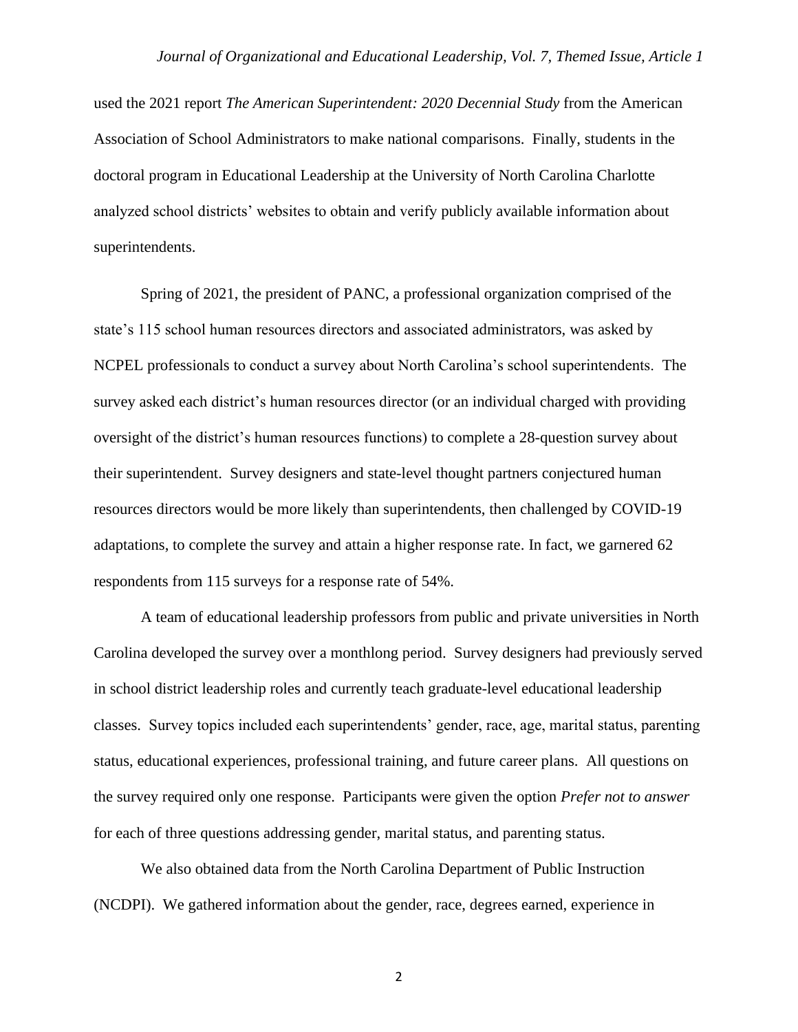### *Journal of Organizational and Educational Leadership, Vol. 7, Themed Issue, Article 1*

used the 2021 report *The American Superintendent: 2020 Decennial Study* from the American Association of School Administrators to make national comparisons. Finally, students in the doctoral program in Educational Leadership at the University of North Carolina Charlotte analyzed school districts' websites to obtain and verify publicly available information about superintendents.

Spring of 2021, the president of PANC, a professional organization comprised of the state's 115 school human resources directors and associated administrators, was asked by NCPEL professionals to conduct a survey about North Carolina's school superintendents. The survey asked each district's human resources director (or an individual charged with providing oversight of the district's human resources functions) to complete a 28-question survey about their superintendent. Survey designers and state-level thought partners conjectured human resources directors would be more likely than superintendents, then challenged by COVID-19 adaptations, to complete the survey and attain a higher response rate. In fact, we garnered 62 respondents from 115 surveys for a response rate of 54%.

A team of educational leadership professors from public and private universities in North Carolina developed the survey over a monthlong period. Survey designers had previously served in school district leadership roles and currently teach graduate-level educational leadership classes. Survey topics included each superintendents' gender, race, age, marital status, parenting status, educational experiences, professional training, and future career plans. All questions on the survey required only one response. Participants were given the option *Prefer not to answer*  for each of three questions addressing gender, marital status, and parenting status.

We also obtained data from the North Carolina Department of Public Instruction (NCDPI). We gathered information about the gender, race, degrees earned, experience in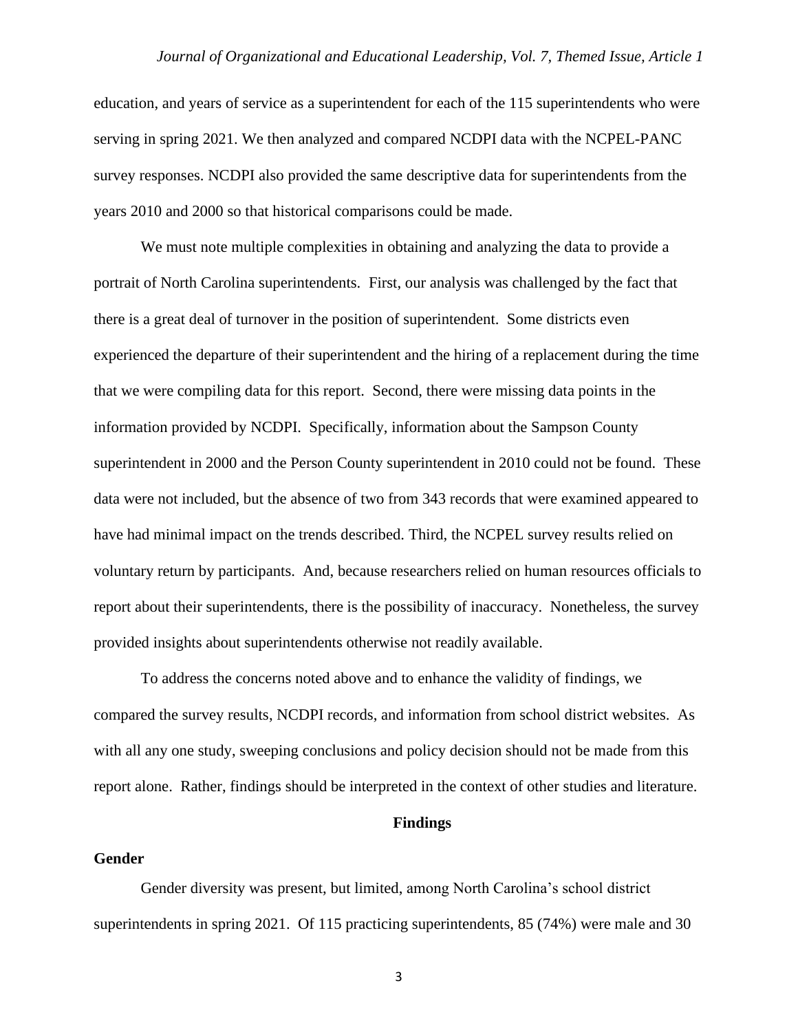education, and years of service as a superintendent for each of the 115 superintendents who were serving in spring 2021. We then analyzed and compared NCDPI data with the NCPEL-PANC survey responses. NCDPI also provided the same descriptive data for superintendents from the years 2010 and 2000 so that historical comparisons could be made.

We must note multiple complexities in obtaining and analyzing the data to provide a portrait of North Carolina superintendents. First, our analysis was challenged by the fact that there is a great deal of turnover in the position of superintendent. Some districts even experienced the departure of their superintendent and the hiring of a replacement during the time that we were compiling data for this report. Second, there were missing data points in the information provided by NCDPI. Specifically, information about the Sampson County superintendent in 2000 and the Person County superintendent in 2010 could not be found. These data were not included, but the absence of two from 343 records that were examined appeared to have had minimal impact on the trends described. Third, the NCPEL survey results relied on voluntary return by participants. And, because researchers relied on human resources officials to report about their superintendents, there is the possibility of inaccuracy. Nonetheless, the survey provided insights about superintendents otherwise not readily available.

To address the concerns noted above and to enhance the validity of findings, we compared the survey results, NCDPI records, and information from school district websites. As with all any one study, sweeping conclusions and policy decision should not be made from this report alone. Rather, findings should be interpreted in the context of other studies and literature.

#### **Findings**

### **Gender**

Gender diversity was present, but limited, among North Carolina's school district superintendents in spring 2021. Of 115 practicing superintendents, 85 (74%) were male and 30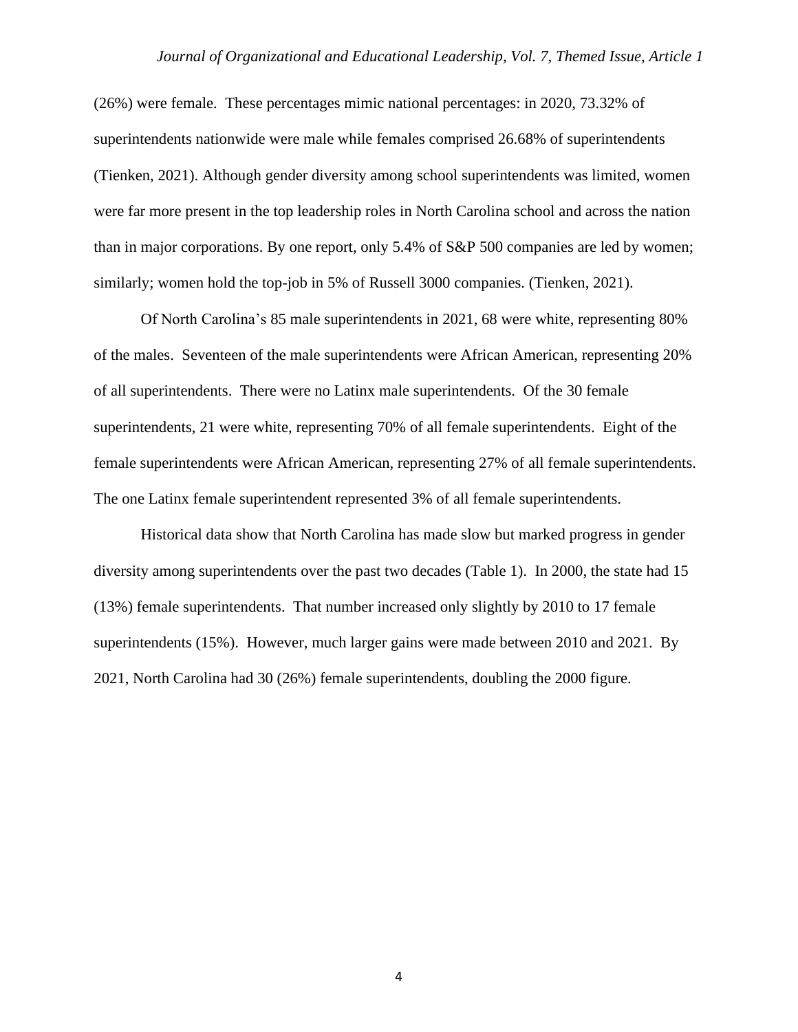#### *Journal of Organizational and Educational Leadership, Vol. 7, Themed Issue, Article 1*

(26%) were female. These percentages mimic national percentages: in 2020, 73.32% of superintendents nationwide were male while females comprised 26.68% of superintendents (Tienken, 2021). Although gender diversity among school superintendents was limited, women were far more present in the top leadership roles in North Carolina school and across the nation than in major corporations. By one report, only 5.4% of S&P 500 companies are led by women; similarly; women hold the top-job in 5% of Russell 3000 companies. (Tienken, 2021).

Of North Carolina's 85 male superintendents in 2021, 68 were white, representing 80% of the males. Seventeen of the male superintendents were African American, representing 20% of all superintendents. There were no Latinx male superintendents. Of the 30 female superintendents, 21 were white, representing 70% of all female superintendents. Eight of the female superintendents were African American, representing 27% of all female superintendents. The one Latinx female superintendent represented 3% of all female superintendents.

Historical data show that North Carolina has made slow but marked progress in gender diversity among superintendents over the past two decades (Table 1). In 2000, the state had 15 (13%) female superintendents. That number increased only slightly by 2010 to 17 female superintendents (15%). However, much larger gains were made between 2010 and 2021. By 2021, North Carolina had 30 (26%) female superintendents, doubling the 2000 figure.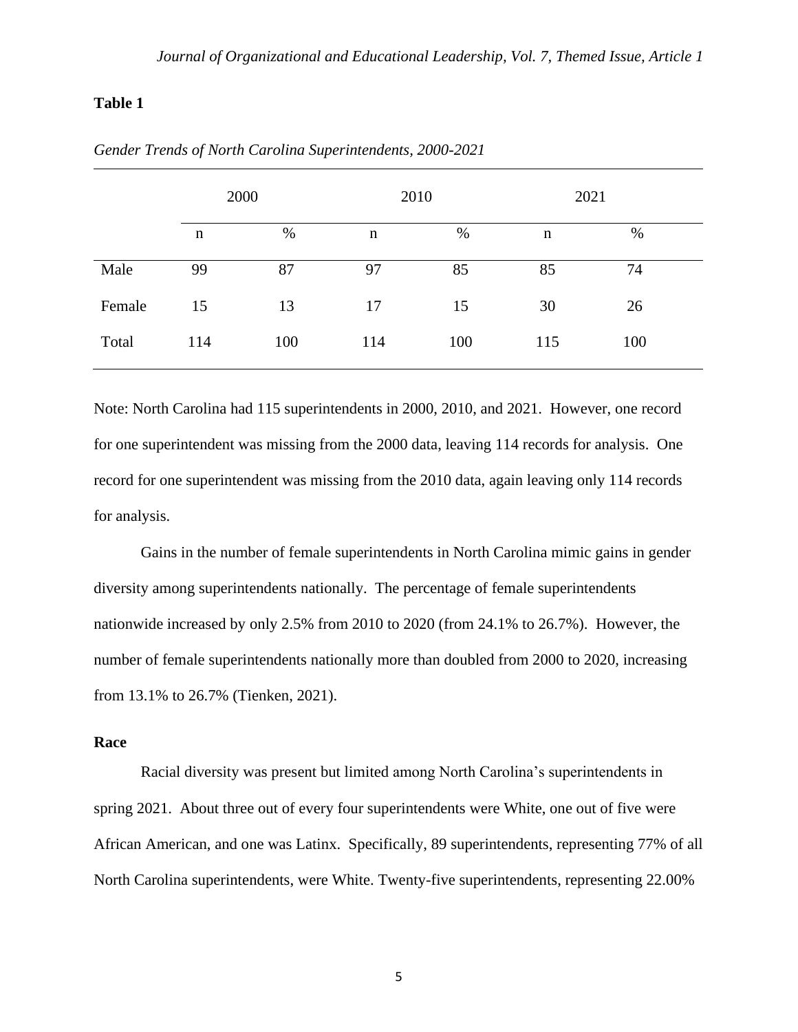## **Table 1**

|        | 2000 |     |             | 2010 |     | 2021 |  |
|--------|------|-----|-------------|------|-----|------|--|
|        | n    | %   | $\mathbf n$ | %    | n   | $\%$ |  |
| Male   | 99   | 87  | 97          | 85   | 85  | 74   |  |
| Female | 15   | 13  | 17          | 15   | 30  | 26   |  |
| Total  | 114  | 100 | 114         | 100  | 115 | 100  |  |

*Gender Trends of North Carolina Superintendents, 2000-2021*

Note: North Carolina had 115 superintendents in 2000, 2010, and 2021. However, one record for one superintendent was missing from the 2000 data, leaving 114 records for analysis. One record for one superintendent was missing from the 2010 data, again leaving only 114 records for analysis.

Gains in the number of female superintendents in North Carolina mimic gains in gender diversity among superintendents nationally. The percentage of female superintendents nationwide increased by only 2.5% from 2010 to 2020 (from 24.1% to 26.7%). However, the number of female superintendents nationally more than doubled from 2000 to 2020, increasing from 13.1% to 26.7% (Tienken, 2021).

#### **Race**

Racial diversity was present but limited among North Carolina's superintendents in spring 2021. About three out of every four superintendents were White, one out of five were African American, and one was Latinx. Specifically, 89 superintendents, representing 77% of all North Carolina superintendents, were White. Twenty-five superintendents, representing 22.00%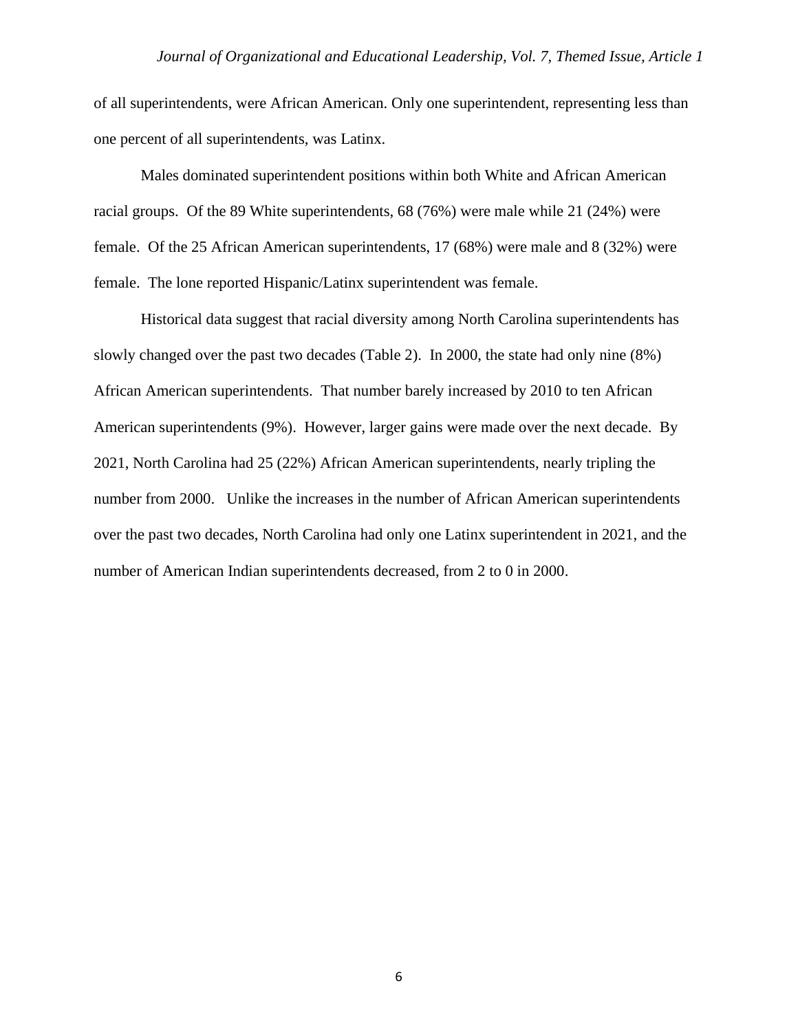of all superintendents, were African American. Only one superintendent, representing less than one percent of all superintendents, was Latinx.

Males dominated superintendent positions within both White and African American racial groups. Of the 89 White superintendents, 68 (76%) were male while 21 (24%) were female. Of the 25 African American superintendents, 17 (68%) were male and 8 (32%) were female. The lone reported Hispanic/Latinx superintendent was female.

Historical data suggest that racial diversity among North Carolina superintendents has slowly changed over the past two decades (Table 2). In 2000, the state had only nine (8%) African American superintendents. That number barely increased by 2010 to ten African American superintendents (9%). However, larger gains were made over the next decade. By 2021, North Carolina had 25 (22%) African American superintendents, nearly tripling the number from 2000. Unlike the increases in the number of African American superintendents over the past two decades, North Carolina had only one Latinx superintendent in 2021, and the number of American Indian superintendents decreased, from 2 to 0 in 2000.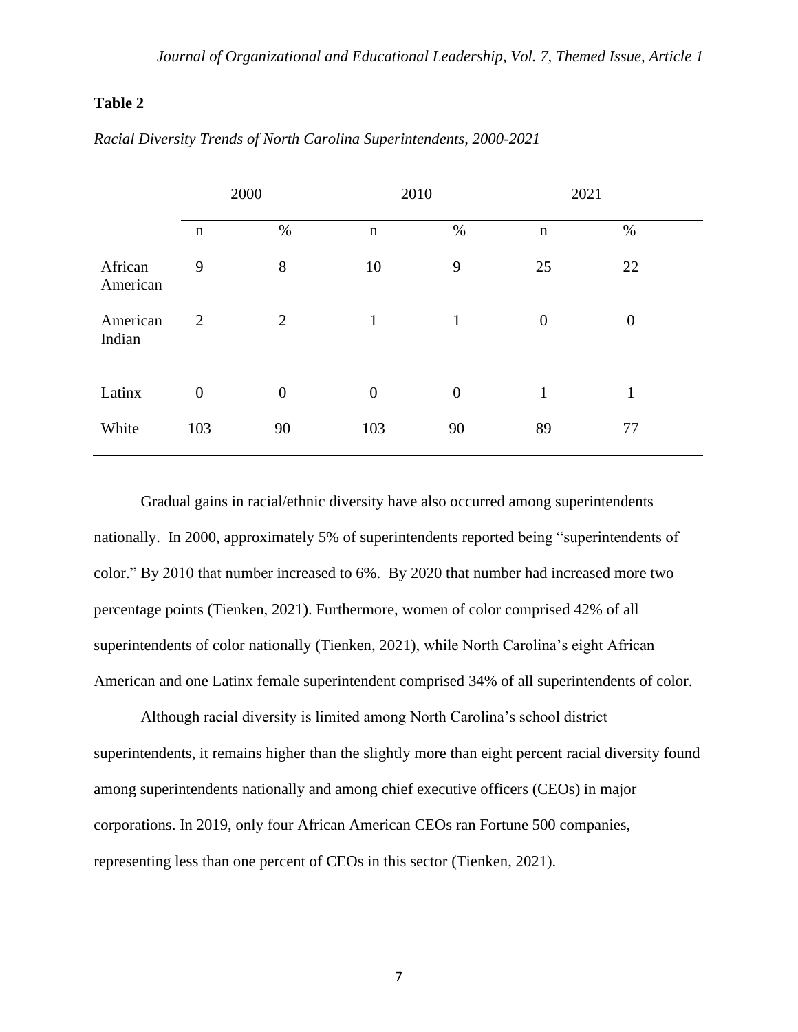## **Table 2**

|                     | 2000             |                  |                  | 2010             |             | 2021             |  |
|---------------------|------------------|------------------|------------------|------------------|-------------|------------------|--|
|                     | $\mathbf n$      | $\%$             | $\mathbf n$      | $\%$             | $\mathbf n$ | $\%$             |  |
| African<br>American | 9                | 8                | 10               | 9                | 25          | 22               |  |
| American<br>Indian  | 2                | $\overline{2}$   | $\mathbf{1}$     | $\mathbf{1}$     | $\theta$    | $\boldsymbol{0}$ |  |
| Latinx              | $\boldsymbol{0}$ | $\boldsymbol{0}$ | $\boldsymbol{0}$ | $\boldsymbol{0}$ | 1           | 1                |  |
| White               | 103              | 90               | 103              | 90               | 89          | 77               |  |

*Racial Diversity Trends of North Carolina Superintendents, 2000-2021*

Gradual gains in racial/ethnic diversity have also occurred among superintendents nationally. In 2000, approximately 5% of superintendents reported being "superintendents of color." By 2010 that number increased to 6%. By 2020 that number had increased more two percentage points (Tienken, 2021). Furthermore, women of color comprised 42% of all superintendents of color nationally (Tienken, 2021), while North Carolina's eight African American and one Latinx female superintendent comprised 34% of all superintendents of color.

Although racial diversity is limited among North Carolina's school district superintendents, it remains higher than the slightly more than eight percent racial diversity found among superintendents nationally and among chief executive officers (CEOs) in major corporations. In 2019, only four African American CEOs ran Fortune 500 companies, representing less than one percent of CEOs in this sector (Tienken, 2021).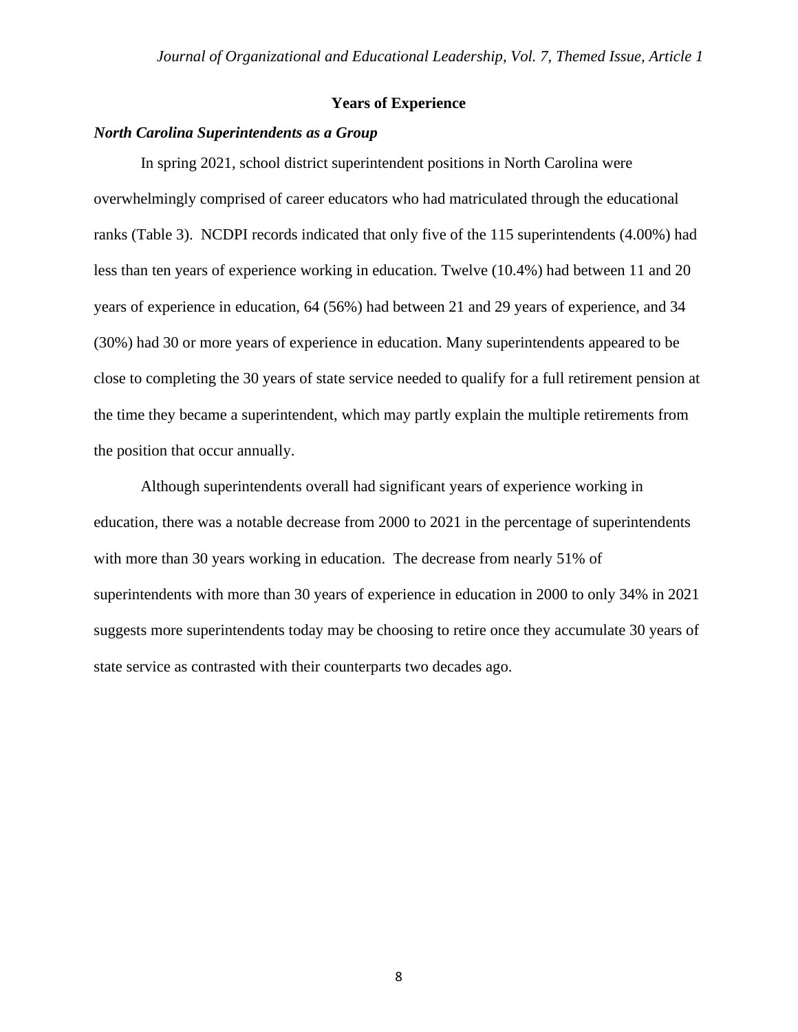## **Years of Experience**

#### *North Carolina Superintendents as a Group*

In spring 2021, school district superintendent positions in North Carolina were overwhelmingly comprised of career educators who had matriculated through the educational ranks (Table 3). NCDPI records indicated that only five of the 115 superintendents (4.00%) had less than ten years of experience working in education. Twelve (10.4%) had between 11 and 20 years of experience in education, 64 (56%) had between 21 and 29 years of experience, and 34 (30%) had 30 or more years of experience in education. Many superintendents appeared to be close to completing the 30 years of state service needed to qualify for a full retirement pension at the time they became a superintendent, which may partly explain the multiple retirements from the position that occur annually.

Although superintendents overall had significant years of experience working in education, there was a notable decrease from 2000 to 2021 in the percentage of superintendents with more than 30 years working in education. The decrease from nearly 51% of superintendents with more than 30 years of experience in education in 2000 to only 34% in 2021 suggests more superintendents today may be choosing to retire once they accumulate 30 years of state service as contrasted with their counterparts two decades ago.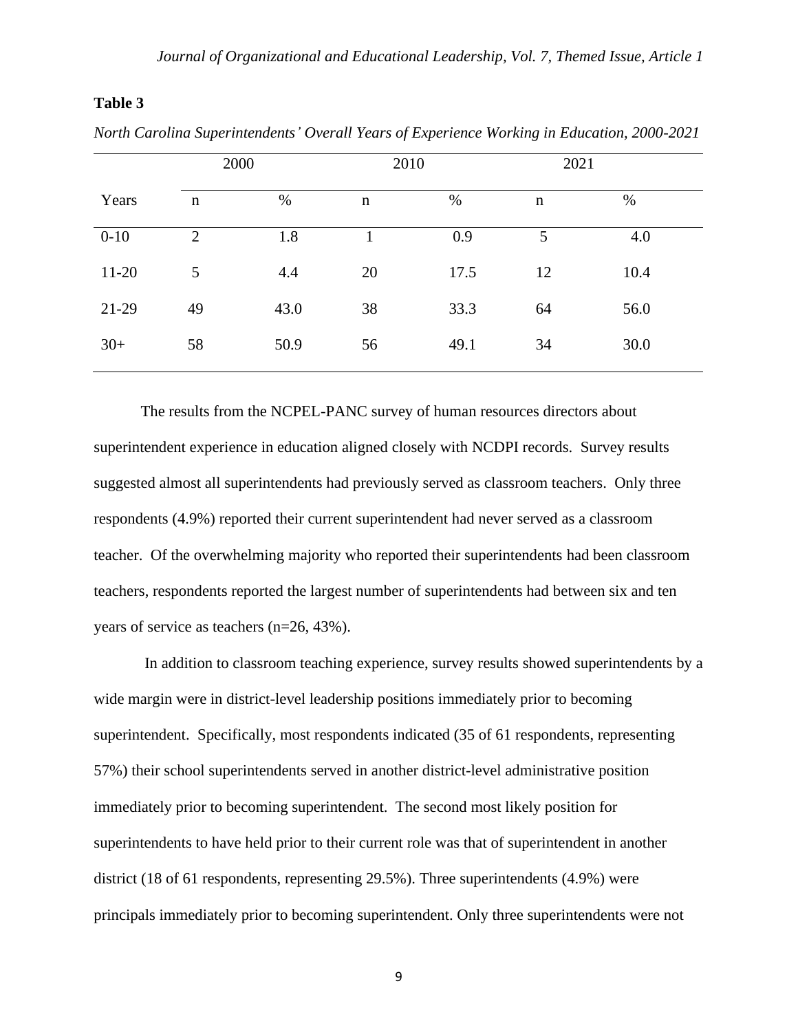# **Table 3**

|          | 2000           |      | 2010        |      | 2021        |      |
|----------|----------------|------|-------------|------|-------------|------|
| Years    | $\mathbf n$    | $\%$ | $\mathbf n$ | %    | $\mathbf n$ | %    |
| $0 - 10$ | $\overline{2}$ | 1.8  |             | 0.9  | 5           | 4.0  |
| $11-20$  | 5              | 4.4  | 20          | 17.5 | 12          | 10.4 |
| 21-29    | 49             | 43.0 | 38          | 33.3 | 64          | 56.0 |
| $30+$    | 58             | 50.9 | 56          | 49.1 | 34          | 30.0 |

*North Carolina Superintendents' Overall Years of Experience Working in Education, 2000-2021*

The results from the NCPEL-PANC survey of human resources directors about superintendent experience in education aligned closely with NCDPI records. Survey results suggested almost all superintendents had previously served as classroom teachers. Only three respondents (4.9%) reported their current superintendent had never served as a classroom teacher. Of the overwhelming majority who reported their superintendents had been classroom teachers, respondents reported the largest number of superintendents had between six and ten years of service as teachers (n=26, 43%).

 In addition to classroom teaching experience, survey results showed superintendents by a wide margin were in district-level leadership positions immediately prior to becoming superintendent. Specifically, most respondents indicated (35 of 61 respondents, representing 57%) their school superintendents served in another district-level administrative position immediately prior to becoming superintendent. The second most likely position for superintendents to have held prior to their current role was that of superintendent in another district (18 of 61 respondents, representing 29.5%). Three superintendents (4.9%) were principals immediately prior to becoming superintendent. Only three superintendents were not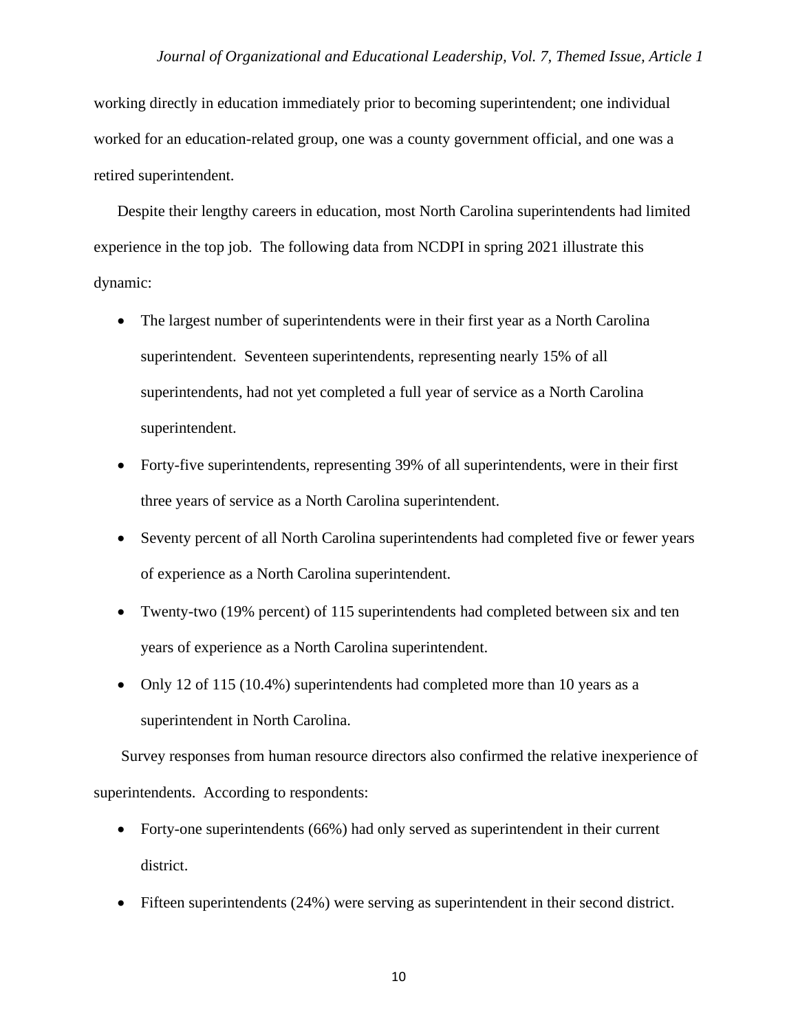working directly in education immediately prior to becoming superintendent; one individual worked for an education-related group, one was a county government official, and one was a retired superintendent.

Despite their lengthy careers in education, most North Carolina superintendents had limited experience in the top job. The following data from NCDPI in spring 2021 illustrate this dynamic:

- The largest number of superintendents were in their first year as a North Carolina superintendent. Seventeen superintendents, representing nearly 15% of all superintendents, had not yet completed a full year of service as a North Carolina superintendent.
- Forty-five superintendents, representing 39% of all superintendents, were in their first three years of service as a North Carolina superintendent.
- Seventy percent of all North Carolina superintendents had completed five or fewer years of experience as a North Carolina superintendent.
- Twenty-two (19% percent) of 115 superintendents had completed between six and ten years of experience as a North Carolina superintendent.
- Only 12 of 115 (10.4%) superintendents had completed more than 10 years as a superintendent in North Carolina.

 Survey responses from human resource directors also confirmed the relative inexperience of superintendents. According to respondents:

- Forty-one superintendents (66%) had only served as superintendent in their current district.
- Fifteen superintendents (24%) were serving as superintendent in their second district.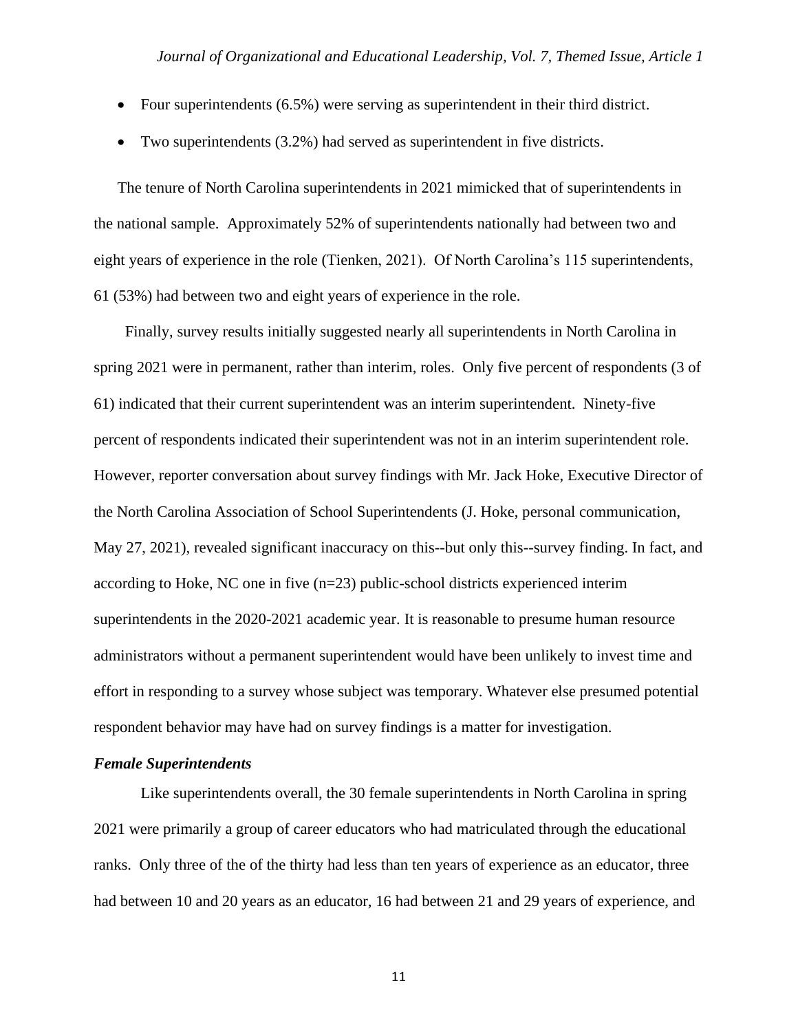- Four superintendents (6.5%) were serving as superintendent in their third district.
- Two superintendents (3.2%) had served as superintendent in five districts.

The tenure of North Carolina superintendents in 2021 mimicked that of superintendents in the national sample. Approximately 52% of superintendents nationally had between two and eight years of experience in the role (Tienken, 2021). Of North Carolina's 115 superintendents, 61 (53%) had between two and eight years of experience in the role.

 Finally, survey results initially suggested nearly all superintendents in North Carolina in spring 2021 were in permanent, rather than interim, roles. Only five percent of respondents (3 of 61) indicated that their current superintendent was an interim superintendent. Ninety-five percent of respondents indicated their superintendent was not in an interim superintendent role. However, reporter conversation about survey findings with Mr. Jack Hoke, Executive Director of the North Carolina Association of School Superintendents (J. Hoke, personal communication, May 27, 2021), revealed significant inaccuracy on this--but only this--survey finding. In fact, and according to Hoke, NC one in five (n=23) public-school districts experienced interim superintendents in the 2020-2021 academic year. It is reasonable to presume human resource administrators without a permanent superintendent would have been unlikely to invest time and effort in responding to a survey whose subject was temporary. Whatever else presumed potential respondent behavior may have had on survey findings is a matter for investigation.

#### *Female Superintendents*

Like superintendents overall, the 30 female superintendents in North Carolina in spring 2021 were primarily a group of career educators who had matriculated through the educational ranks. Only three of the of the thirty had less than ten years of experience as an educator, three had between 10 and 20 years as an educator, 16 had between 21 and 29 years of experience, and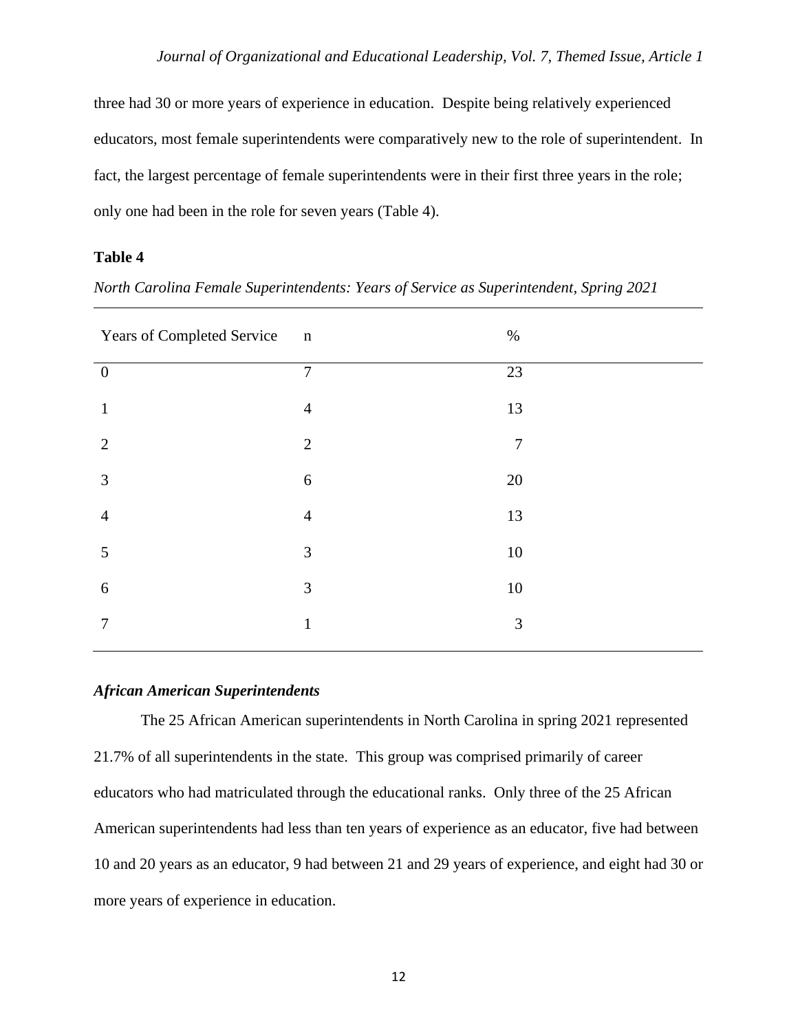three had 30 or more years of experience in education. Despite being relatively experienced educators, most female superintendents were comparatively new to the role of superintendent. In fact, the largest percentage of female superintendents were in their first three years in the role; only one had been in the role for seven years (Table 4).

## **Table 4**

| Years of Completed Service | $\mathbf n$      | $\%$           |
|----------------------------|------------------|----------------|
| $\boldsymbol{0}$           | $\overline{7}$   | 23             |
| $\mathbf{1}$               | $\overline{4}$   | 13             |
| $\overline{2}$             | $\overline{2}$   | $\overline{7}$ |
| 3                          | $\boldsymbol{6}$ | 20             |
| $\overline{4}$             | $\overline{4}$   | 13             |
| 5                          | 3                | $10\,$         |
| 6                          | 3                | 10             |
| 7                          | 1                | $\mathfrak{Z}$ |

*North Carolina Female Superintendents: Years of Service as Superintendent, Spring 2021*

# *African American Superintendents*

The 25 African American superintendents in North Carolina in spring 2021 represented 21.7% of all superintendents in the state. This group was comprised primarily of career educators who had matriculated through the educational ranks. Only three of the 25 African American superintendents had less than ten years of experience as an educator, five had between 10 and 20 years as an educator, 9 had between 21 and 29 years of experience, and eight had 30 or more years of experience in education.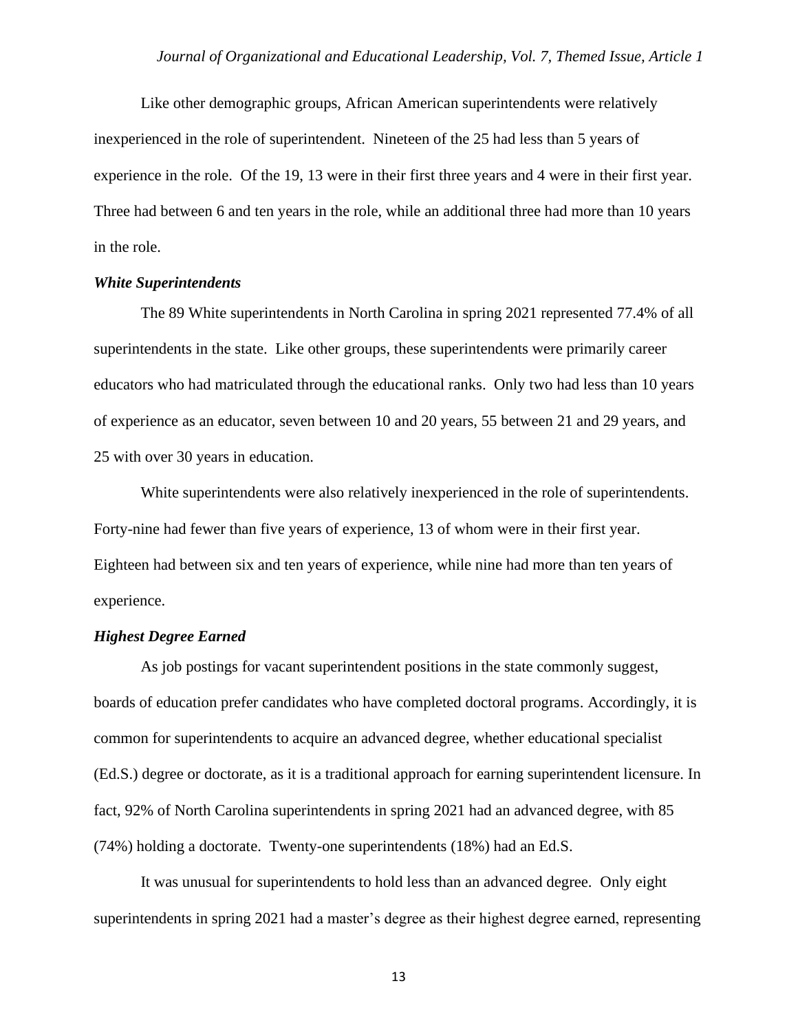Like other demographic groups, African American superintendents were relatively inexperienced in the role of superintendent. Nineteen of the 25 had less than 5 years of experience in the role. Of the 19, 13 were in their first three years and 4 were in their first year. Three had between 6 and ten years in the role, while an additional three had more than 10 years in the role.

#### *White Superintendents*

The 89 White superintendents in North Carolina in spring 2021 represented 77.4% of all superintendents in the state. Like other groups, these superintendents were primarily career educators who had matriculated through the educational ranks. Only two had less than 10 years of experience as an educator, seven between 10 and 20 years, 55 between 21 and 29 years, and 25 with over 30 years in education.

White superintendents were also relatively inexperienced in the role of superintendents. Forty-nine had fewer than five years of experience, 13 of whom were in their first year. Eighteen had between six and ten years of experience, while nine had more than ten years of experience.

#### *Highest Degree Earned*

As job postings for vacant superintendent positions in the state commonly suggest, boards of education prefer candidates who have completed doctoral programs. Accordingly, it is common for superintendents to acquire an advanced degree, whether educational specialist (Ed.S.) degree or doctorate, as it is a traditional approach for earning superintendent licensure. In fact, 92% of North Carolina superintendents in spring 2021 had an advanced degree, with 85 (74%) holding a doctorate. Twenty-one superintendents (18%) had an Ed.S.

It was unusual for superintendents to hold less than an advanced degree. Only eight superintendents in spring 2021 had a master's degree as their highest degree earned, representing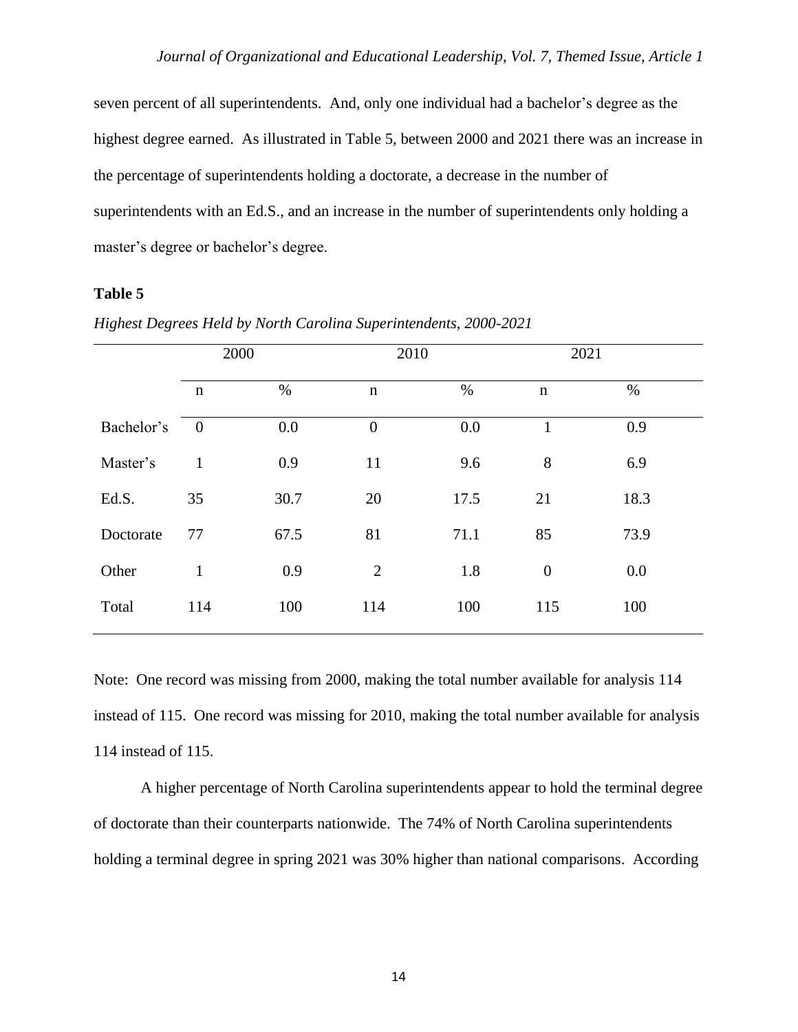seven percent of all superintendents. And, only one individual had a bachelor's degree as the highest degree earned. As illustrated in Table 5, between 2000 and 2021 there was an increase in the percentage of superintendents holding a doctorate, a decrease in the number of superintendents with an Ed.S., and an increase in the number of superintendents only holding a master's degree or bachelor's degree.

## **Table 5**

|            | 2000           |      | 2010           |      | 2021             |      |  |
|------------|----------------|------|----------------|------|------------------|------|--|
|            | $\mathbf n$    | $\%$ | $\mathbf n$    | $\%$ | $\mathbf n$      | %    |  |
| Bachelor's | $\overline{0}$ | 0.0  | $\overline{0}$ | 0.0  | 1                | 0.9  |  |
| Master's   | $\mathbf{1}$   | 0.9  | 11             | 9.6  | 8                | 6.9  |  |
| Ed.S.      | 35             | 30.7 | 20             | 17.5 | 21               | 18.3 |  |
| Doctorate  | 77             | 67.5 | 81             | 71.1 | 85               | 73.9 |  |
| Other      | $\mathbf{1}$   | 0.9  | $\overline{2}$ | 1.8  | $\boldsymbol{0}$ | 0.0  |  |
| Total      | 114            | 100  | 114            | 100  | 115              | 100  |  |

*Highest Degrees Held by North Carolina Superintendents, 2000-2021*

Note: One record was missing from 2000, making the total number available for analysis 114 instead of 115. One record was missing for 2010, making the total number available for analysis 114 instead of 115.

A higher percentage of North Carolina superintendents appear to hold the terminal degree of doctorate than their counterparts nationwide. The 74% of North Carolina superintendents holding a terminal degree in spring 2021 was 30% higher than national comparisons. According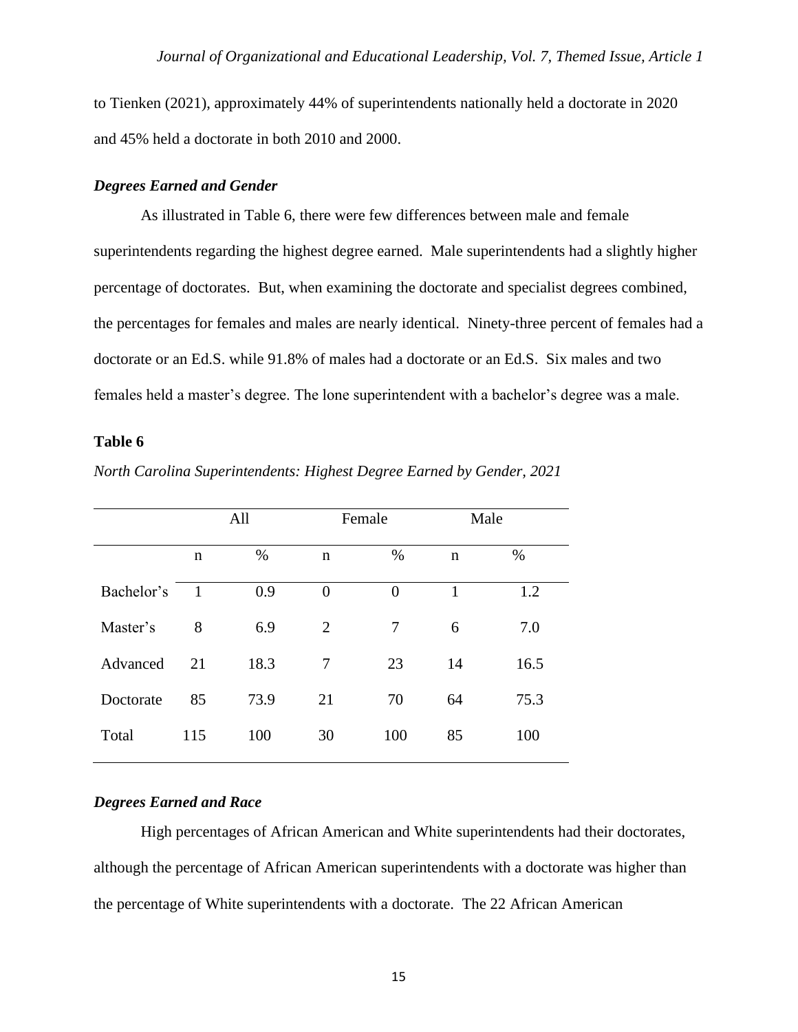to Tienken (2021), approximately 44% of superintendents nationally held a doctorate in 2020 and 45% held a doctorate in both 2010 and 2000.

#### *Degrees Earned and Gender*

As illustrated in Table 6, there were few differences between male and female superintendents regarding the highest degree earned. Male superintendents had a slightly higher percentage of doctorates. But, when examining the doctorate and specialist degrees combined, the percentages for females and males are nearly identical. Ninety-three percent of females had a doctorate or an Ed.S. while 91.8% of males had a doctorate or an Ed.S. Six males and two females held a master's degree. The lone superintendent with a bachelor's degree was a male.

## **Table 6**

|            | All          |      | Female         |                | Male        |      |
|------------|--------------|------|----------------|----------------|-------------|------|
|            | n            | %    | n              | %              | $\mathbf n$ | $\%$ |
| Bachelor's | $\mathbf{1}$ | 0.9  | $\overline{0}$ | $\overline{0}$ | 1           | 1.2  |
| Master's   | 8            | 6.9  | $\overline{2}$ | 7              | 6           | 7.0  |
| Advanced   | 21           | 18.3 | 7              | 23             | 14          | 16.5 |
| Doctorate  | 85           | 73.9 | 21             | 70             | 64          | 75.3 |
| Total      | 115          | 100  | 30             | 100            | 85          | 100  |

*North Carolina Superintendents: Highest Degree Earned by Gender, 2021*

## *Degrees Earned and Race*

High percentages of African American and White superintendents had their doctorates, although the percentage of African American superintendents with a doctorate was higher than the percentage of White superintendents with a doctorate. The 22 African American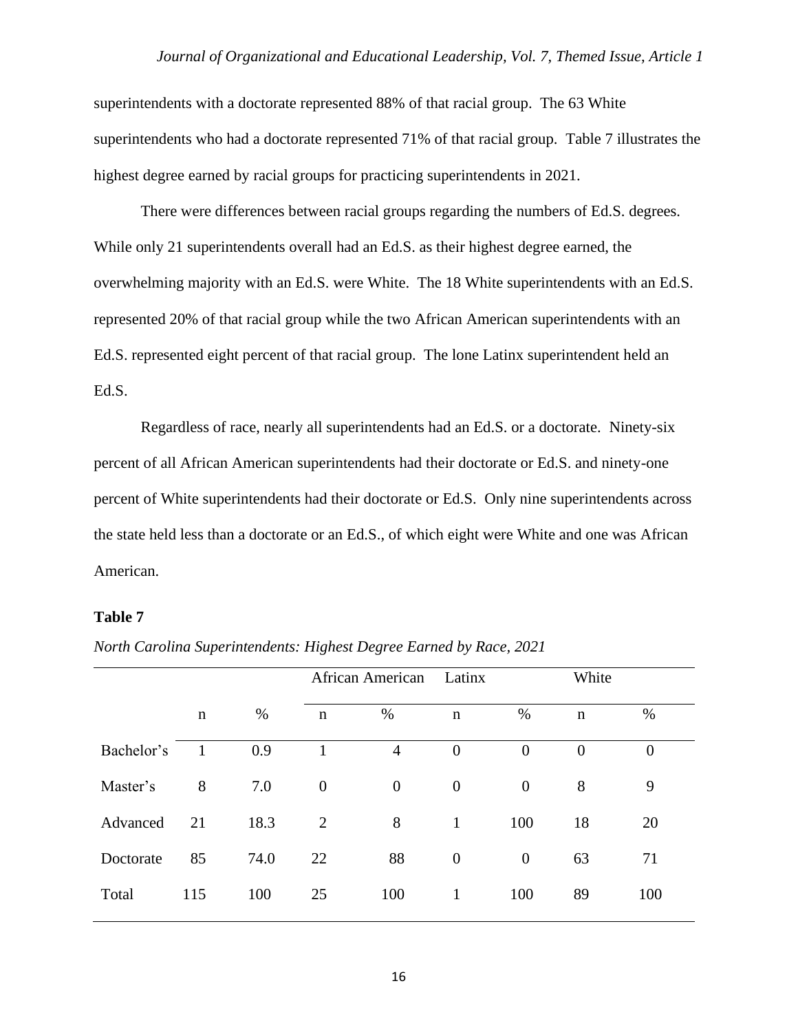superintendents with a doctorate represented 88% of that racial group. The 63 White superintendents who had a doctorate represented 71% of that racial group. Table 7 illustrates the highest degree earned by racial groups for practicing superintendents in 2021.

There were differences between racial groups regarding the numbers of Ed.S. degrees. While only 21 superintendents overall had an Ed.S. as their highest degree earned, the overwhelming majority with an Ed.S. were White. The 18 White superintendents with an Ed.S. represented 20% of that racial group while the two African American superintendents with an Ed.S. represented eight percent of that racial group. The lone Latinx superintendent held an Ed.S.

Regardless of race, nearly all superintendents had an Ed.S. or a doctorate. Ninety-six percent of all African American superintendents had their doctorate or Ed.S. and ninety-one percent of White superintendents had their doctorate or Ed.S. Only nine superintendents across the state held less than a doctorate or an Ed.S., of which eight were White and one was African American.

### **Table 7**

|            |             |      |                | African American |                | Latinx         |                | White          |  |
|------------|-------------|------|----------------|------------------|----------------|----------------|----------------|----------------|--|
|            | $\mathbf n$ | %    | $\mathbf n$    | %                | $\mathbf n$    | $\%$           | $\mathbf n$    | %              |  |
| Bachelor's |             | 0.9  | 1              | $\overline{4}$   | $\theta$       | $\overline{0}$ | $\overline{0}$ | $\overline{0}$ |  |
| Master's   | 8           | 7.0  | $\overline{0}$ | $\overline{0}$   | $\overline{0}$ | $\overline{0}$ | 8              | 9              |  |
| Advanced   | 21          | 18.3 | $\overline{2}$ | 8                | $\mathbf{1}$   | 100            | 18             | 20             |  |
| Doctorate  | 85          | 74.0 | 22             | 88               | $\theta$       | $\theta$       | 63             | 71             |  |
| Total      | 115         | 100  | 25             | 100              | 1              | 100            | 89             | 100            |  |

*North Carolina Superintendents: Highest Degree Earned by Race, 2021*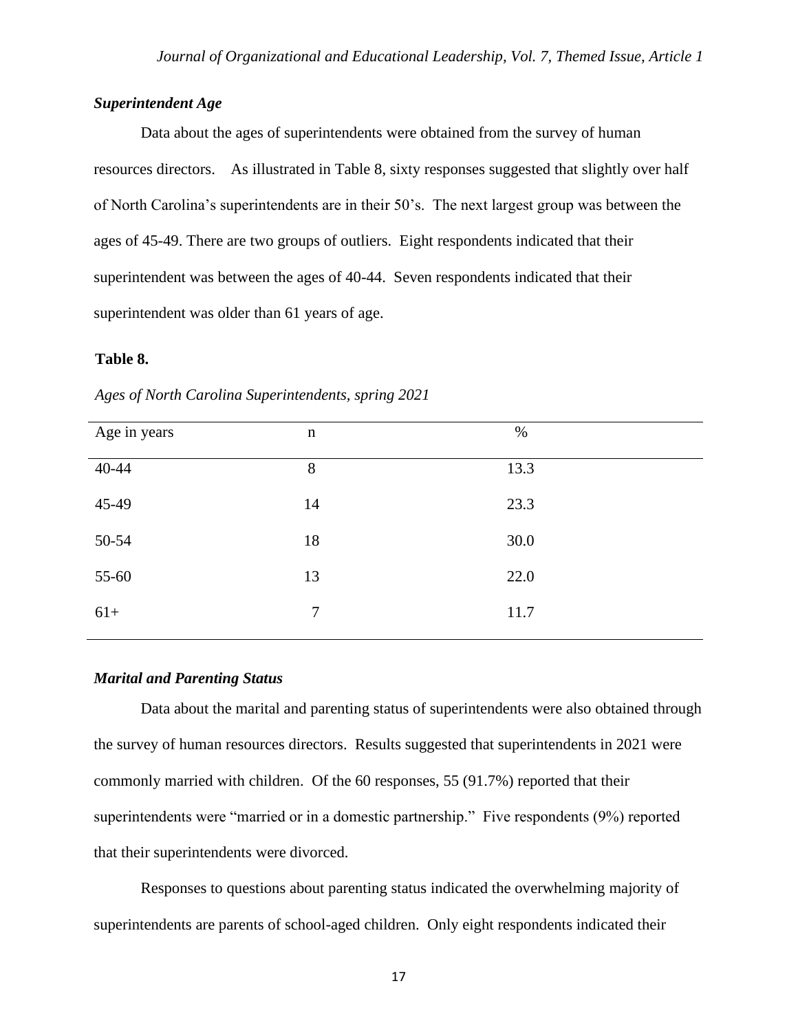## *Superintendent Age*

Data about the ages of superintendents were obtained from the survey of human resources directors. As illustrated in Table 8, sixty responses suggested that slightly over half of North Carolina's superintendents are in their 50's. The next largest group was between the ages of 45-49. There are two groups of outliers. Eight respondents indicated that their superintendent was between the ages of 40-44. Seven respondents indicated that their superintendent was older than 61 years of age.

### **Table 8.**

| Age in years | $\mathbf n$    | $\%$ |
|--------------|----------------|------|
| 40-44        | 8              | 13.3 |
| 45-49        | 14             | 23.3 |
| 50-54        | 18             | 30.0 |
| 55-60        | 13             | 22.0 |
| $61+$        | $\overline{7}$ | 11.7 |

*Ages of North Carolina Superintendents, spring 2021*

#### *Marital and Parenting Status*

Data about the marital and parenting status of superintendents were also obtained through the survey of human resources directors. Results suggested that superintendents in 2021 were commonly married with children. Of the 60 responses, 55 (91.7%) reported that their superintendents were "married or in a domestic partnership." Five respondents (9%) reported that their superintendents were divorced.

Responses to questions about parenting status indicated the overwhelming majority of superintendents are parents of school-aged children. Only eight respondents indicated their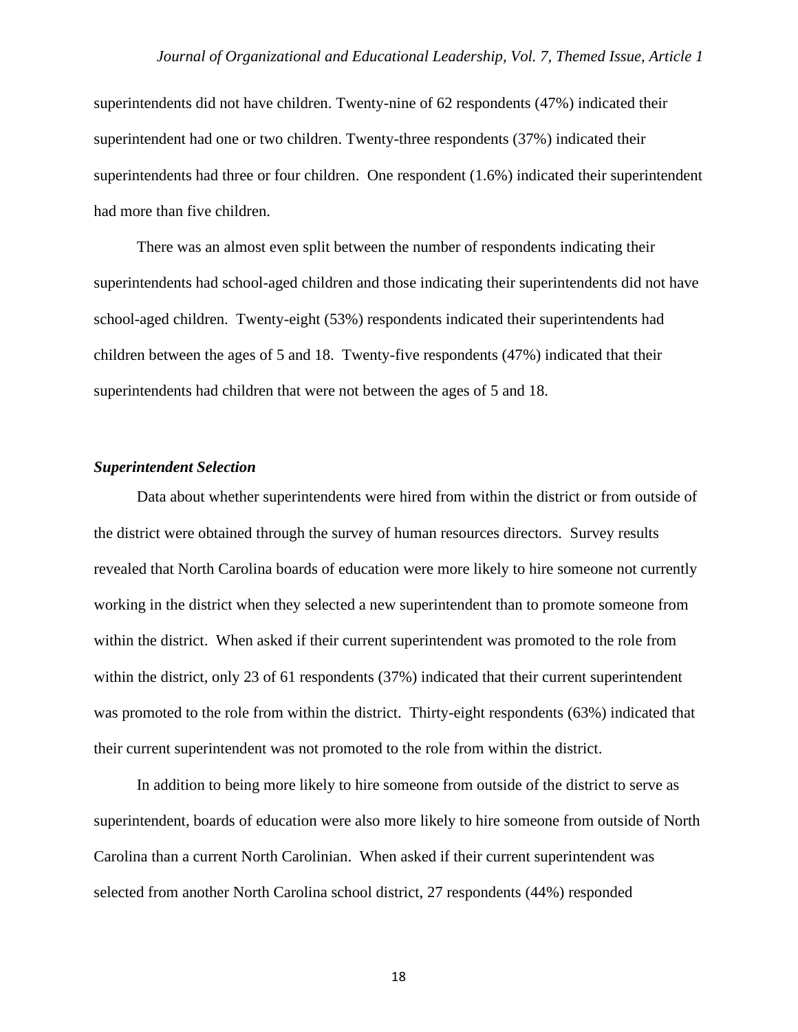superintendents did not have children. Twenty-nine of 62 respondents (47%) indicated their superintendent had one or two children. Twenty-three respondents (37%) indicated their superintendents had three or four children. One respondent (1.6%) indicated their superintendent had more than five children.

 There was an almost even split between the number of respondents indicating their superintendents had school-aged children and those indicating their superintendents did not have school-aged children. Twenty-eight (53%) respondents indicated their superintendents had children between the ages of 5 and 18. Twenty-five respondents (47%) indicated that their superintendents had children that were not between the ages of 5 and 18.

#### *Superintendent Selection*

 Data about whether superintendents were hired from within the district or from outside of the district were obtained through the survey of human resources directors. Survey results revealed that North Carolina boards of education were more likely to hire someone not currently working in the district when they selected a new superintendent than to promote someone from within the district. When asked if their current superintendent was promoted to the role from within the district, only 23 of 61 respondents (37%) indicated that their current superintendent was promoted to the role from within the district. Thirty-eight respondents (63%) indicated that their current superintendent was not promoted to the role from within the district.

 In addition to being more likely to hire someone from outside of the district to serve as superintendent, boards of education were also more likely to hire someone from outside of North Carolina than a current North Carolinian. When asked if their current superintendent was selected from another North Carolina school district, 27 respondents (44%) responded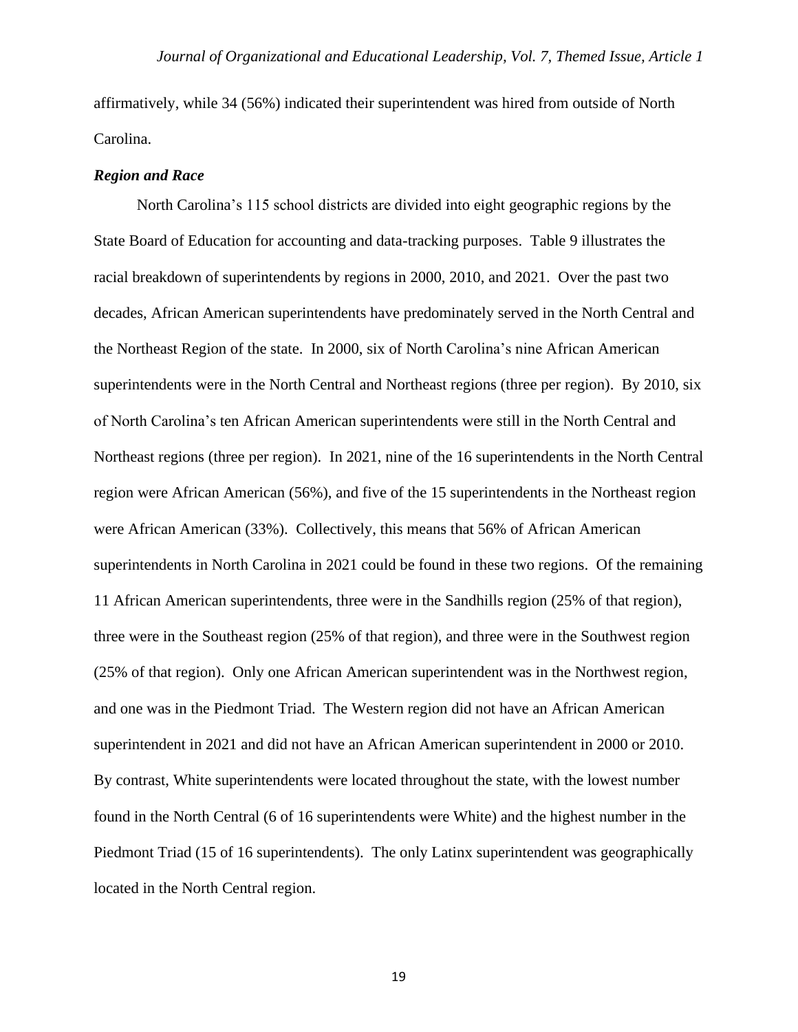affirmatively, while 34 (56%) indicated their superintendent was hired from outside of North Carolina.

#### *Region and Race*

 North Carolina's 115 school districts are divided into eight geographic regions by the State Board of Education for accounting and data-tracking purposes. Table 9 illustrates the racial breakdown of superintendents by regions in 2000, 2010, and 2021. Over the past two decades, African American superintendents have predominately served in the North Central and the Northeast Region of the state. In 2000, six of North Carolina's nine African American superintendents were in the North Central and Northeast regions (three per region). By 2010, six of North Carolina's ten African American superintendents were still in the North Central and Northeast regions (three per region). In 2021, nine of the 16 superintendents in the North Central region were African American (56%), and five of the 15 superintendents in the Northeast region were African American (33%). Collectively, this means that 56% of African American superintendents in North Carolina in 2021 could be found in these two regions. Of the remaining 11 African American superintendents, three were in the Sandhills region (25% of that region), three were in the Southeast region (25% of that region), and three were in the Southwest region (25% of that region). Only one African American superintendent was in the Northwest region, and one was in the Piedmont Triad. The Western region did not have an African American superintendent in 2021 and did not have an African American superintendent in 2000 or 2010. By contrast, White superintendents were located throughout the state, with the lowest number found in the North Central (6 of 16 superintendents were White) and the highest number in the Piedmont Triad (15 of 16 superintendents). The only Latinx superintendent was geographically located in the North Central region.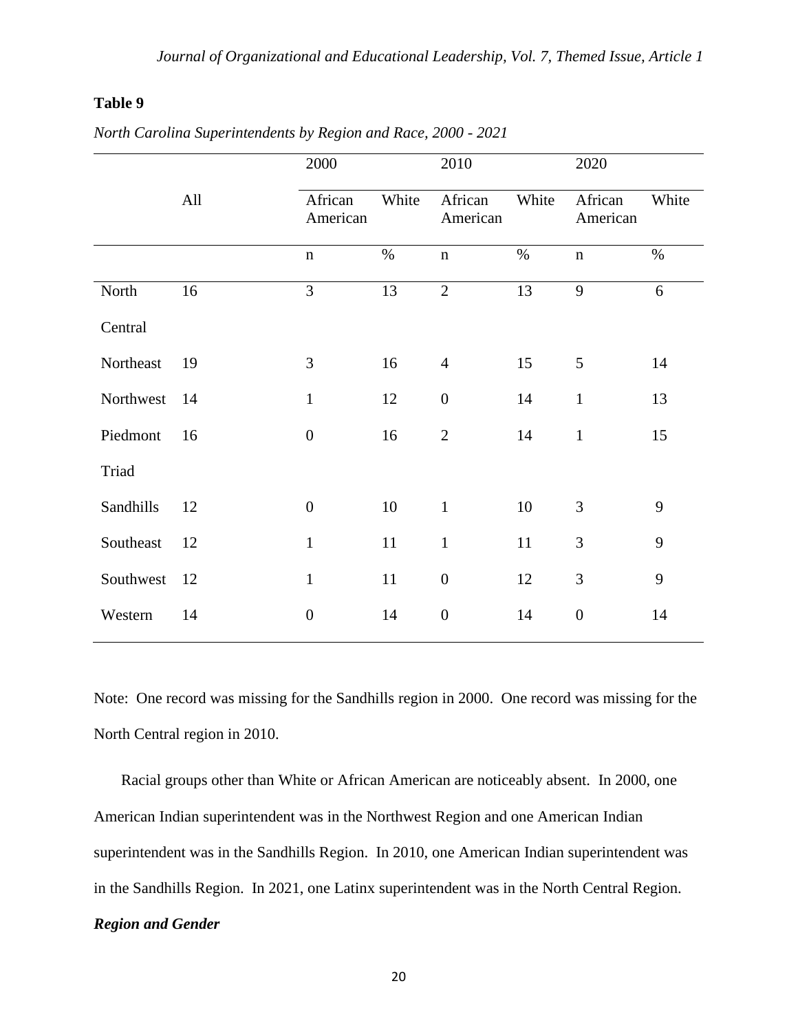# **Table 9**

|           |     | 2000                |       | 2010                |       | 2020                |       |
|-----------|-----|---------------------|-------|---------------------|-------|---------------------|-------|
|           | All | African<br>American | White | African<br>American | White | African<br>American | White |
|           |     | $\mathbf n$         | $\%$  | $\mathbf n$         | $\%$  | $\mathbf n$         | $\%$  |
| North     | 16  | 3                   | 13    | $\overline{2}$      | 13    | 9                   | 6     |
| Central   |     |                     |       |                     |       |                     |       |
| Northeast | 19  | 3                   | 16    | $\overline{4}$      | 15    | 5                   | 14    |
| Northwest | 14  | $\mathbf{1}$        | 12    | $\boldsymbol{0}$    | 14    | $\mathbf{1}$        | 13    |
| Piedmont  | 16  | $\boldsymbol{0}$    | 16    | $\overline{2}$      | 14    | $\mathbf{1}$        | 15    |
| Triad     |     |                     |       |                     |       |                     |       |
| Sandhills | 12  | $\boldsymbol{0}$    | 10    | $\mathbf{1}$        | 10    | 3                   | 9     |
| Southeast | 12  | $\mathbf{1}$        | 11    | $\mathbf{1}$        | 11    | 3                   | 9     |
| Southwest | 12  | $\mathbf{1}$        | 11    | $\boldsymbol{0}$    | 12    | 3                   | 9     |
| Western   | 14  | $\boldsymbol{0}$    | 14    | $\boldsymbol{0}$    | 14    | $\boldsymbol{0}$    | 14    |

*North Carolina Superintendents by Region and Race, 2000 - 2021*

Note: One record was missing for the Sandhills region in 2000. One record was missing for the North Central region in 2010.

 Racial groups other than White or African American are noticeably absent. In 2000, one American Indian superintendent was in the Northwest Region and one American Indian superintendent was in the Sandhills Region. In 2010, one American Indian superintendent was in the Sandhills Region. In 2021, one Latinx superintendent was in the North Central Region. *Region and Gender*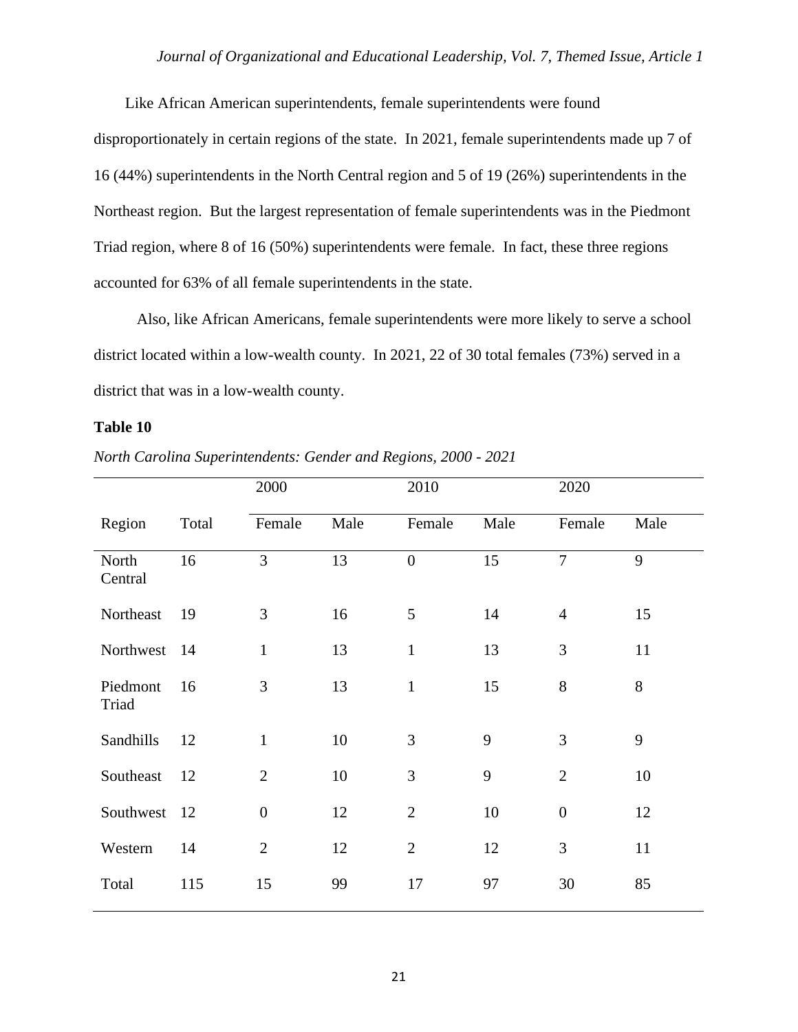Like African American superintendents, female superintendents were found

disproportionately in certain regions of the state. In 2021, female superintendents made up 7 of 16 (44%) superintendents in the North Central region and 5 of 19 (26%) superintendents in the Northeast region. But the largest representation of female superintendents was in the Piedmont Triad region, where 8 of 16 (50%) superintendents were female. In fact, these three regions accounted for 63% of all female superintendents in the state.

 Also, like African Americans, female superintendents were more likely to serve a school district located within a low-wealth county. In 2021, 22 of 30 total females (73%) served in a district that was in a low-wealth county.

## **Table 10**

|                   |               | 2000             |      | 2010           |      | 2020           |      |
|-------------------|---------------|------------------|------|----------------|------|----------------|------|
| Region            | Total         | Female           | Male | Female         | Male | Female         | Male |
| North<br>Central  | 16            | 3                | 13   | $\overline{0}$ | 15   | $\overline{7}$ | 9    |
| Northeast         | 19            | 3                | 16   | 5              | 14   | $\overline{4}$ | 15   |
| Northwest 14      |               | $\mathbf{1}$     | 13   | $\mathbf{1}$   | 13   | 3              | 11   |
| Piedmont<br>Triad | 16            | 3                | 13   | $\mathbf{1}$   | 15   | 8              | 8    |
| Sandhills         | 12            | $\mathbf{1}$     | 10   | 3              | 9    | 3              | 9    |
| Southeast         | 12            | $\overline{2}$   | 10   | 3              | 9    | $\overline{2}$ | 10   |
| Southwest         | <sup>12</sup> | $\boldsymbol{0}$ | 12   | $\overline{2}$ | 10   | $\overline{0}$ | 12   |
| Western           | 14            | $\overline{2}$   | 12   | $\overline{2}$ | 12   | 3              | 11   |
| Total             | 115           | 15               | 99   | 17             | 97   | 30             | 85   |

*North Carolina Superintendents: Gender and Regions, 2000 - 2021*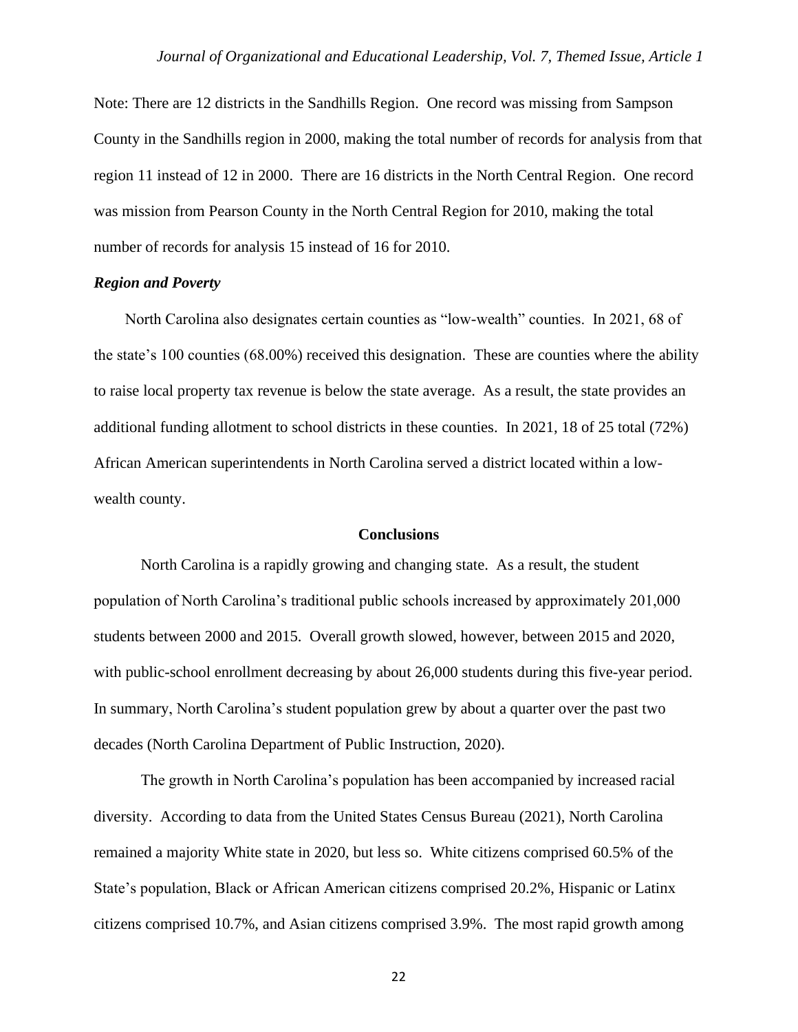Note: There are 12 districts in the Sandhills Region. One record was missing from Sampson County in the Sandhills region in 2000, making the total number of records for analysis from that region 11 instead of 12 in 2000. There are 16 districts in the North Central Region. One record was mission from Pearson County in the North Central Region for 2010, making the total number of records for analysis 15 instead of 16 for 2010.

#### *Region and Poverty*

 North Carolina also designates certain counties as "low-wealth" counties. In 2021, 68 of the state's 100 counties (68.00%) received this designation. These are counties where the ability to raise local property tax revenue is below the state average. As a result, the state provides an additional funding allotment to school districts in these counties. In 2021, 18 of 25 total (72%) African American superintendents in North Carolina served a district located within a lowwealth county.

#### **Conclusions**

North Carolina is a rapidly growing and changing state. As a result, the student population of North Carolina's traditional public schools increased by approximately 201,000 students between 2000 and 2015. Overall growth slowed, however, between 2015 and 2020, with public-school enrollment decreasing by about 26,000 students during this five-year period. In summary, North Carolina's student population grew by about a quarter over the past two decades (North Carolina Department of Public Instruction, 2020).

The growth in North Carolina's population has been accompanied by increased racial diversity. According to data from the United States Census Bureau (2021), North Carolina remained a majority White state in 2020, but less so. White citizens comprised 60.5% of the State's population, Black or African American citizens comprised 20.2%, Hispanic or Latinx citizens comprised 10.7%, and Asian citizens comprised 3.9%. The most rapid growth among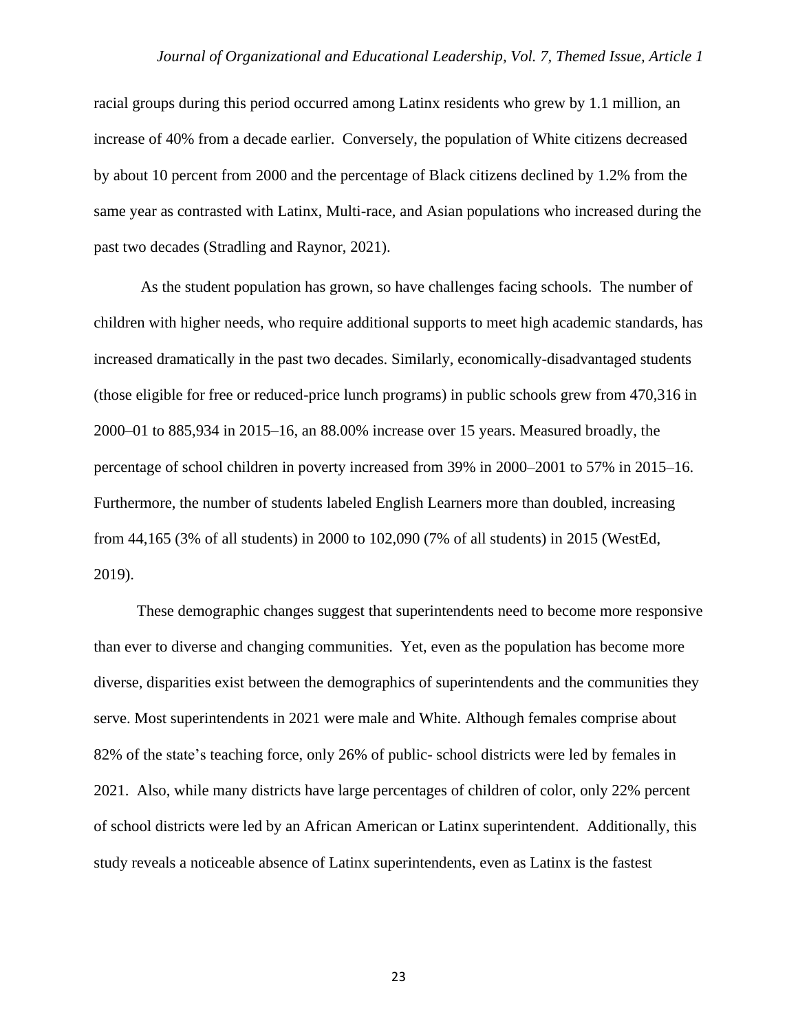racial groups during this period occurred among Latinx residents who grew by 1.1 million, an increase of 40% from a decade earlier. Conversely, the population of White citizens decreased by about 10 percent from 2000 and the percentage of Black citizens declined by 1.2% from the same year as contrasted with Latinx, Multi-race, and Asian populations who increased during the past two decades (Stradling and Raynor, 2021).

As the student population has grown, so have challenges facing schools. The number of children with higher needs, who require additional supports to meet high academic standards, has increased dramatically in the past two decades. Similarly, economically-disadvantaged students (those eligible for free or reduced-price lunch programs) in public schools grew from 470,316 in 2000–01 to 885,934 in 2015–16, an 88.00% increase over 15 years. Measured broadly, the percentage of school children in poverty increased from 39% in 2000–2001 to 57% in 2015–16. Furthermore, the number of students labeled English Learners more than doubled, increasing from 44,165 (3% of all students) in 2000 to 102,090 (7% of all students) in 2015 (WestEd, 2019).

 These demographic changes suggest that superintendents need to become more responsive than ever to diverse and changing communities. Yet, even as the population has become more diverse, disparities exist between the demographics of superintendents and the communities they serve. Most superintendents in 2021 were male and White. Although females comprise about 82% of the state's teaching force, only 26% of public- school districts were led by females in 2021. Also, while many districts have large percentages of children of color, only 22% percent of school districts were led by an African American or Latinx superintendent. Additionally, this study reveals a noticeable absence of Latinx superintendents, even as Latinx is the fastest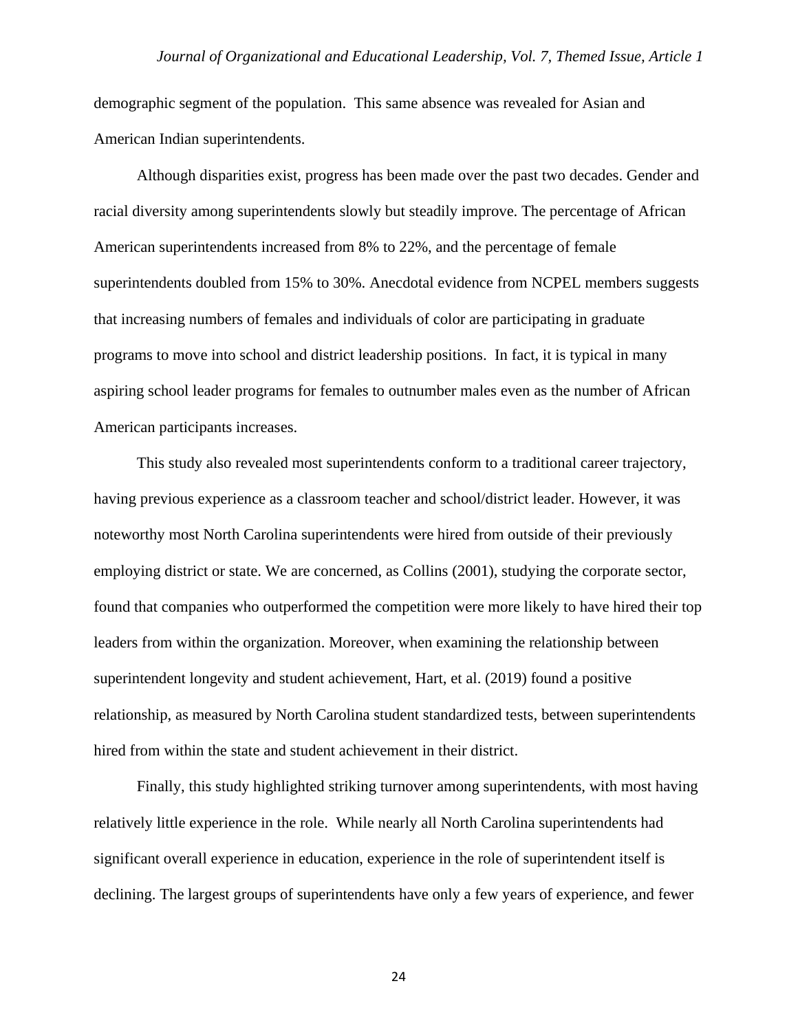demographic segment of the population. This same absence was revealed for Asian and American Indian superintendents.

 Although disparities exist, progress has been made over the past two decades. Gender and racial diversity among superintendents slowly but steadily improve. The percentage of African American superintendents increased from 8% to 22%, and the percentage of female superintendents doubled from 15% to 30%. Anecdotal evidence from NCPEL members suggests that increasing numbers of females and individuals of color are participating in graduate programs to move into school and district leadership positions. In fact, it is typical in many aspiring school leader programs for females to outnumber males even as the number of African American participants increases.

 This study also revealed most superintendents conform to a traditional career trajectory, having previous experience as a classroom teacher and school/district leader. However, it was noteworthy most North Carolina superintendents were hired from outside of their previously employing district or state. We are concerned, as Collins (2001), studying the corporate sector, found that companies who outperformed the competition were more likely to have hired their top leaders from within the organization. Moreover, when examining the relationship between superintendent longevity and student achievement, Hart, et al. (2019) found a positive relationship, as measured by North Carolina student standardized tests, between superintendents hired from within the state and student achievement in their district.

 Finally, this study highlighted striking turnover among superintendents, with most having relatively little experience in the role. While nearly all North Carolina superintendents had significant overall experience in education, experience in the role of superintendent itself is declining. The largest groups of superintendents have only a few years of experience, and fewer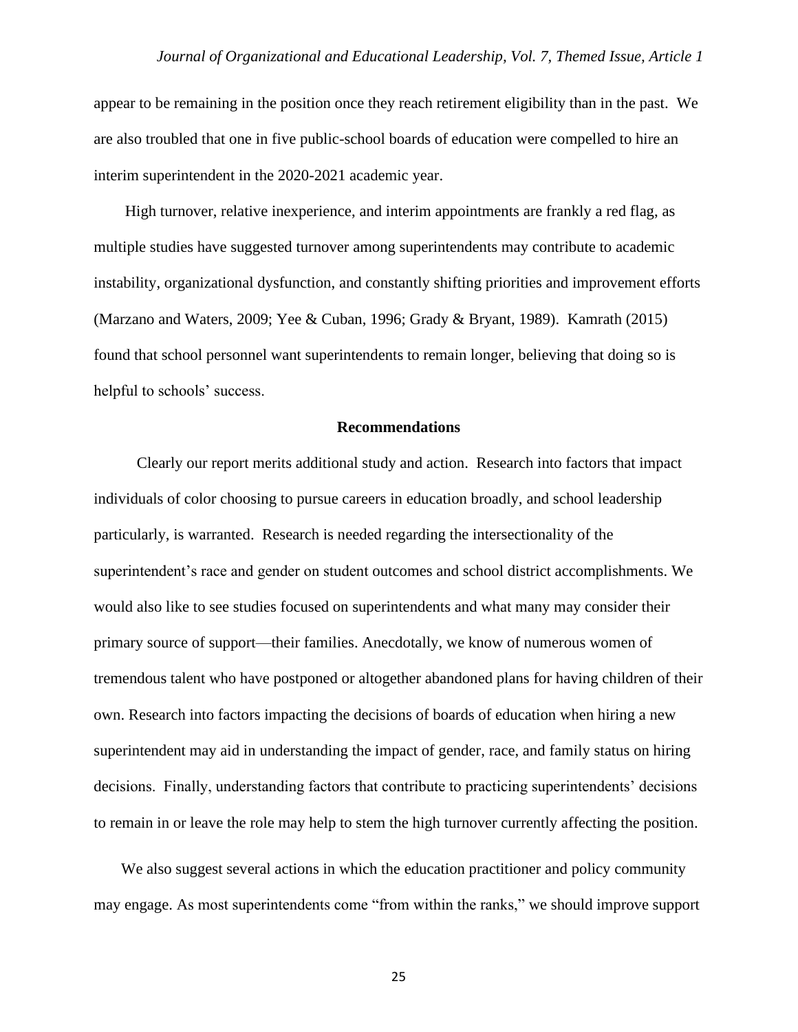appear to be remaining in the position once they reach retirement eligibility than in the past. We are also troubled that one in five public-school boards of education were compelled to hire an interim superintendent in the 2020-2021 academic year.

 High turnover, relative inexperience, and interim appointments are frankly a red flag, as multiple studies have suggested turnover among superintendents may contribute to academic instability, organizational dysfunction, and constantly shifting priorities and improvement efforts (Marzano and Waters, 2009; Yee & Cuban, 1996; Grady & Bryant, 1989). Kamrath (2015) found that school personnel want superintendents to remain longer, believing that doing so is helpful to schools' success.

#### **Recommendations**

 Clearly our report merits additional study and action. Research into factors that impact individuals of color choosing to pursue careers in education broadly, and school leadership particularly, is warranted. Research is needed regarding the intersectionality of the superintendent's race and gender on student outcomes and school district accomplishments. We would also like to see studies focused on superintendents and what many may consider their primary source of support—their families. Anecdotally, we know of numerous women of tremendous talent who have postponed or altogether abandoned plans for having children of their own. Research into factors impacting the decisions of boards of education when hiring a new superintendent may aid in understanding the impact of gender, race, and family status on hiring decisions. Finally, understanding factors that contribute to practicing superintendents' decisions to remain in or leave the role may help to stem the high turnover currently affecting the position.

We also suggest several actions in which the education practitioner and policy community may engage. As most superintendents come "from within the ranks," we should improve support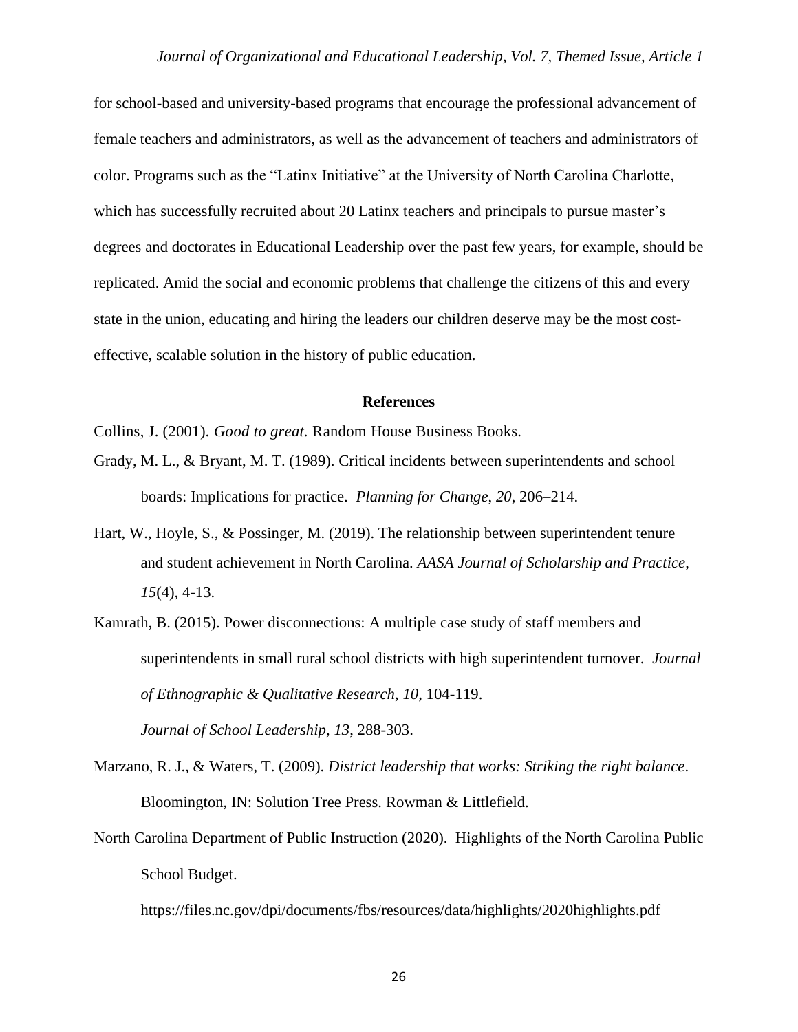for school-based and university-based programs that encourage the professional advancement of female teachers and administrators, as well as the advancement of teachers and administrators of color. Programs such as the "Latinx Initiative" at the University of North Carolina Charlotte, which has successfully recruited about 20 Latinx teachers and principals to pursue master's degrees and doctorates in Educational Leadership over the past few years, for example, should be replicated. Amid the social and economic problems that challenge the citizens of this and every state in the union, educating and hiring the leaders our children deserve may be the most costeffective, scalable solution in the history of public education.

### **References**

Collins, J. (2001). *Good to great.* Random House Business Books.

- Grady, M. L., & Bryant, M. T. (1989). Critical incidents between superintendents and school boards: Implications for practice. *Planning for Change*, *20*, 206–214.
- Hart, W., Hoyle, S., & Possinger, M. (2019). The relationship between superintendent tenure and student achievement in North Carolina. *AASA Journal of Scholarship and Practice*, *15*(4), 4-13.
- Kamrath, B. (2015). Power disconnections: A multiple case study of staff members and superintendents in small rural school districts with high superintendent turnover. *Journal of Ethnographic & Qualitative Research*, *10*, 104-119. *Journal of School Leadership*, *13*, 288-303.
- Marzano, R. J., & Waters, T. (2009). *District leadership that works: Striking the right balance*. Bloomington, IN: Solution Tree Press. Rowman & Littlefield.
- North Carolina Department of Public Instruction (2020). Highlights of the North Carolina Public School Budget.

https://files.nc.gov/dpi/documents/fbs/resources/data/highlights/2020highlights.pdf